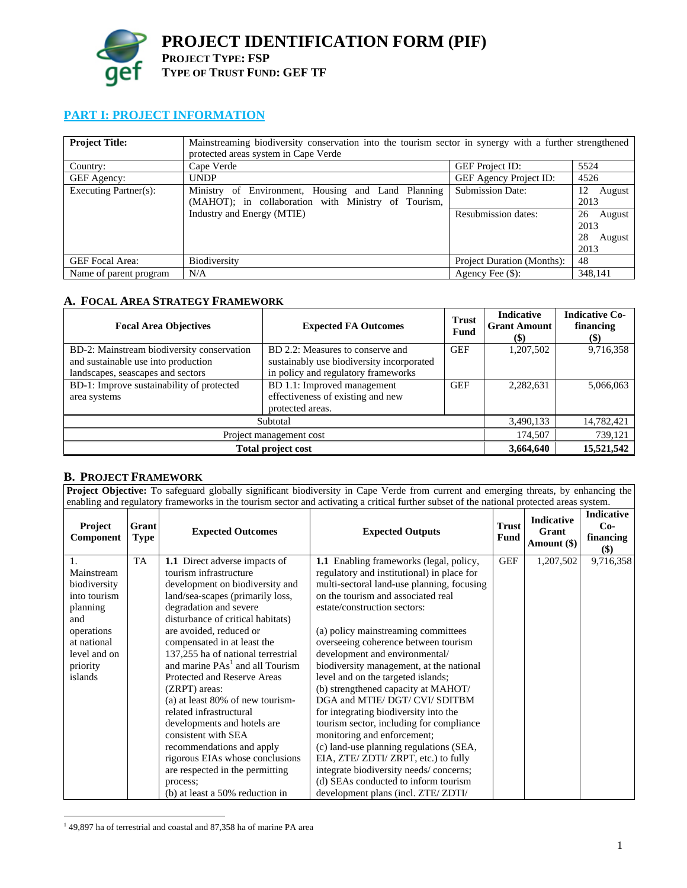

# **PART I: PROJECT INFORMATION**

| <b>Project Title:</b>  | Mainstreaming biodiversity conservation into the tourism sector in synergy with a further strengthened<br>protected areas system in Cape Verde |                                                       |                                                                      |  |
|------------------------|------------------------------------------------------------------------------------------------------------------------------------------------|-------------------------------------------------------|----------------------------------------------------------------------|--|
| Country:               | Cape Verde                                                                                                                                     | <b>GEF Project ID:</b>                                | 5524                                                                 |  |
| GEF Agency:            | <b>UNDP</b>                                                                                                                                    | <b>GEF Agency Project ID:</b>                         | 4526                                                                 |  |
| Executing Partner(s):  | Ministry of Environment, Housing and Land Planning<br>(MAHOT); in collaboration with Ministry of Tourism,<br>Industry and Energy (MTIE)        | <b>Submission Date:</b><br><b>Resubmission dates:</b> | 12<br>August<br>2013<br>26<br>August<br>2013<br>28<br>August<br>2013 |  |
| <b>GEF</b> Focal Area: | Biodiversity                                                                                                                                   | Project Duration (Months):                            | 48                                                                   |  |
| Name of parent program | N/A                                                                                                                                            | Agency Fee $(\$)$ :                                   | 348,141                                                              |  |

## **A. FOCAL AREA STRATEGY FRAMEWORK**

| <b>Focal Area Objectives</b>               | <b>Expected FA Outcomes</b>               | <b>Trust</b><br>Fund | <b>Indicative</b><br><b>Grant Amount</b><br>$\left( \text{\$}\right)$ | <b>Indicative Co-</b><br>financing<br>(\$) |
|--------------------------------------------|-------------------------------------------|----------------------|-----------------------------------------------------------------------|--------------------------------------------|
| BD-2: Mainstream biodiversity conservation | BD 2.2: Measures to conserve and          | <b>GEF</b>           | 1,207,502                                                             | 9,716,358                                  |
| and sustainable use into production        | sustainably use biodiversity incorporated |                      |                                                                       |                                            |
| landscapes, seascapes and sectors          | in policy and regulatory frameworks       |                      |                                                                       |                                            |
| BD-1: Improve sustainability of protected  | BD 1.1: Improved management               | <b>GEF</b>           | 2,282,631                                                             | 5,066,063                                  |
| area systems                               | effectiveness of existing and new         |                      |                                                                       |                                            |
|                                            | protected areas.                          |                      |                                                                       |                                            |
| Subtotal                                   |                                           | 3,490,133            | 14,782,421                                                            |                                            |
| Project management cost                    |                                           |                      | 174,507                                                               | 739,121                                    |
| <b>Total project cost</b>                  | 3,664,640                                 | 15,521,542           |                                                                       |                                            |

## **B. PROJECT FRAMEWORK**

**Project Objective:** To safeguard globally significant biodiversity in Cape Verde from current and emerging threats, by enhancing the enabling and regulatory frameworks in the tourism sector and activating a critical further subset of the national protected areas system.

| <b>Project</b><br>Component | Grant<br><b>Type</b> | <b>Expected Outcomes</b>                    | <b>Expected Outputs</b>                    | <b>Trust</b><br>Fund | <b>Indicative</b><br>Grant<br>Amount (\$) | <b>Indicative</b><br>$Co-$<br>financing<br>\$) |
|-----------------------------|----------------------|---------------------------------------------|--------------------------------------------|----------------------|-------------------------------------------|------------------------------------------------|
|                             | <b>TA</b>            | 1.1 Direct adverse impacts of               | 1.1 Enabling frameworks (legal, policy,    | <b>GEF</b>           | 1,207,502                                 | 9,716,358                                      |
| Mainstream                  |                      | tourism infrastructure                      | regulatory and institutional) in place for |                      |                                           |                                                |
| biodiversity                |                      | development on biodiversity and             | multi-sectoral land-use planning, focusing |                      |                                           |                                                |
| into tourism                |                      | land/sea-scapes (primarily loss,            | on the tourism and associated real         |                      |                                           |                                                |
| planning                    |                      | degradation and severe                      | estate/construction sectors:               |                      |                                           |                                                |
| and                         |                      | disturbance of critical habitats)           |                                            |                      |                                           |                                                |
| operations                  |                      | are avoided, reduced or                     | (a) policy mainstreaming committees        |                      |                                           |                                                |
| at national                 |                      | compensated in at least the                 | overseeing coherence between tourism       |                      |                                           |                                                |
| level and on                |                      | 137,255 ha of national terrestrial          | development and environmental/             |                      |                                           |                                                |
| priority                    |                      | and marine PAs <sup>1</sup> and all Tourism | biodiversity management, at the national   |                      |                                           |                                                |
| islands                     |                      | Protected and Reserve Areas                 | level and on the targeted islands;         |                      |                                           |                                                |
|                             |                      | $(ZRPT)$ areas:                             | (b) strengthened capacity at MAHOT/        |                      |                                           |                                                |
|                             |                      | (a) at least $80\%$ of new tourism-         | DGA and MTIE/ DGT/ CVI/ SDITBM             |                      |                                           |                                                |
|                             |                      | related infrastructural                     | for integrating biodiversity into the      |                      |                                           |                                                |
|                             |                      | developments and hotels are                 | tourism sector, including for compliance   |                      |                                           |                                                |
|                             |                      | consistent with SEA                         | monitoring and enforcement;                |                      |                                           |                                                |
|                             |                      | recommendations and apply                   | (c) land-use planning regulations (SEA,    |                      |                                           |                                                |
|                             |                      | rigorous EIAs whose conclusions             | EIA, ZTE/ ZDTI/ ZRPT, etc.) to fully       |                      |                                           |                                                |
|                             |                      | are respected in the permitting             | integrate biodiversity needs/concerns;     |                      |                                           |                                                |
|                             |                      | process:                                    | (d) SEAs conducted to inform tourism       |                      |                                           |                                                |
|                             |                      | (b) at least a 50% reduction in             | development plans (incl. ZTE/ZDTI/         |                      |                                           |                                                |

 1 49,897 ha of terrestrial and coastal and 87,358 ha of marine PA area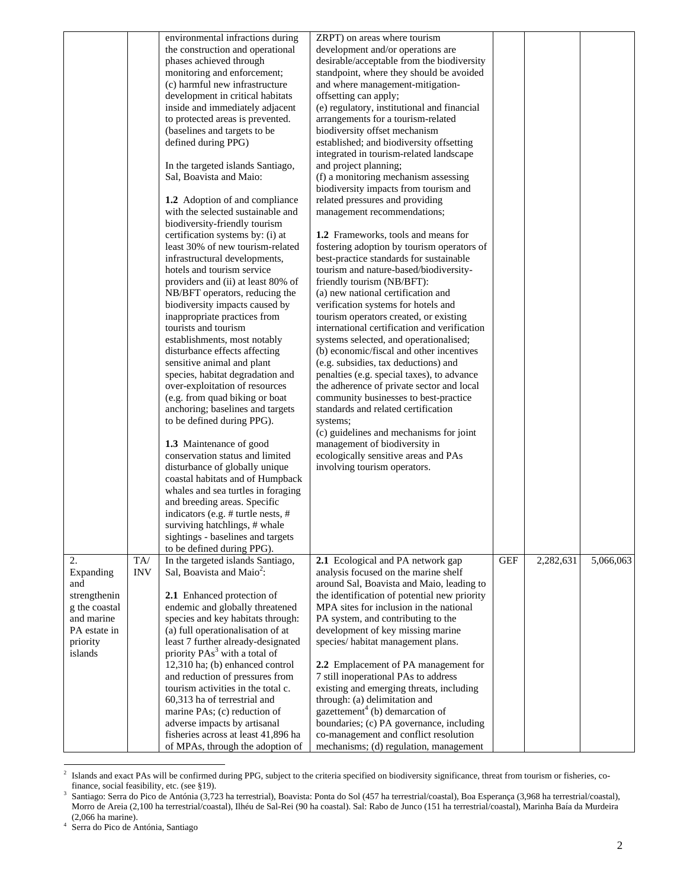|               |            | environmental infractions during          | ZRPT) on areas where tourism                 |            |           |           |
|---------------|------------|-------------------------------------------|----------------------------------------------|------------|-----------|-----------|
|               |            | the construction and operational          | development and/or operations are            |            |           |           |
|               |            | phases achieved through                   | desirable/acceptable from the biodiversity   |            |           |           |
|               |            | monitoring and enforcement;               | standpoint, where they should be avoided     |            |           |           |
|               |            | (c) harmful new infrastructure            | and where management-mitigation-             |            |           |           |
|               |            | development in critical habitats          | offsetting can apply;                        |            |           |           |
|               |            | inside and immediately adjacent           | (e) regulatory, institutional and financial  |            |           |           |
|               |            | to protected areas is prevented.          | arrangements for a tourism-related           |            |           |           |
|               |            | (baselines and targets to be              | biodiversity offset mechanism                |            |           |           |
|               |            | defined during PPG)                       | established; and biodiversity offsetting     |            |           |           |
|               |            |                                           | integrated in tourism-related landscape      |            |           |           |
|               |            | In the targeted islands Santiago,         | and project planning;                        |            |           |           |
|               |            | Sal, Boavista and Maio:                   | (f) a monitoring mechanism assessing         |            |           |           |
|               |            |                                           | biodiversity impacts from tourism and        |            |           |           |
|               |            | 1.2 Adoption of and compliance            | related pressures and providing              |            |           |           |
|               |            |                                           |                                              |            |           |           |
|               |            | with the selected sustainable and         | management recommendations;                  |            |           |           |
|               |            | biodiversity-friendly tourism             |                                              |            |           |           |
|               |            | certification systems by: (i) at          | 1.2 Frameworks, tools and means for          |            |           |           |
|               |            | least 30% of new tourism-related          | fostering adoption by tourism operators of   |            |           |           |
|               |            | infrastructural developments,             | best-practice standards for sustainable      |            |           |           |
|               |            | hotels and tourism service                | tourism and nature-based/biodiversity-       |            |           |           |
|               |            | providers and (ii) at least 80% of        | friendly tourism (NB/BFT):                   |            |           |           |
|               |            | NB/BFT operators, reducing the            | (a) new national certification and           |            |           |           |
|               |            | biodiversity impacts caused by            | verification systems for hotels and          |            |           |           |
|               |            | inappropriate practices from              | tourism operators created, or existing       |            |           |           |
|               |            | tourists and tourism                      | international certification and verification |            |           |           |
|               |            | establishments, most notably              | systems selected, and operationalised;       |            |           |           |
|               |            | disturbance effects affecting             | (b) economic/fiscal and other incentives     |            |           |           |
|               |            | sensitive animal and plant                | (e.g. subsidies, tax deductions) and         |            |           |           |
|               |            | species, habitat degradation and          | penalties (e.g. special taxes), to advance   |            |           |           |
|               |            | over-exploitation of resources            | the adherence of private sector and local    |            |           |           |
|               |            | (e.g. from quad biking or boat            | community businesses to best-practice        |            |           |           |
|               |            | anchoring; baselines and targets          | standards and related certification          |            |           |           |
|               |            | to be defined during PPG).                | systems;                                     |            |           |           |
|               |            |                                           | (c) guidelines and mechanisms for joint      |            |           |           |
|               |            | 1.3 Maintenance of good                   | management of biodiversity in                |            |           |           |
|               |            | conservation status and limited           | ecologically sensitive areas and PAs         |            |           |           |
|               |            | disturbance of globally unique            | involving tourism operators.                 |            |           |           |
|               |            | coastal habitats and of Humpback          |                                              |            |           |           |
|               |            | whales and sea turtles in foraging        |                                              |            |           |           |
|               |            | and breeding areas. Specific              |                                              |            |           |           |
|               |            | indicators (e.g. # turtle nests, #        |                                              |            |           |           |
|               |            | surviving hatchlings, # whale             |                                              |            |           |           |
|               |            | sightings - baselines and targets         |                                              |            |           |           |
|               |            | to be defined during PPG).                |                                              |            |           |           |
| 2.            | TA/        | In the targeted islands Santiago,         | 2.1 Ecological and PA network gap            | <b>GEF</b> | 2,282,631 | 5,066,063 |
| Expanding     | <b>INV</b> | Sal, Boavista and Maio <sup>2</sup> :     | analysis focused on the marine shelf         |            |           |           |
| and           |            |                                           | around Sal, Boavista and Maio, leading to    |            |           |           |
| strengthenin  |            | 2.1 Enhanced protection of                | the identification of potential new priority |            |           |           |
| g the coastal |            | endemic and globally threatened           | MPA sites for inclusion in the national      |            |           |           |
| and marine    |            | species and key habitats through:         | PA system, and contributing to the           |            |           |           |
| PA estate in  |            | (a) full operationalisation of at         | development of key missing marine            |            |           |           |
| priority      |            | least 7 further already-designated        | species/habitat management plans.            |            |           |           |
| islands       |            | priority PAs <sup>3</sup> with a total of |                                              |            |           |           |
|               |            | 12,310 ha; (b) enhanced control           | 2.2 Emplacement of PA management for         |            |           |           |
|               |            | and reduction of pressures from           | 7 still inoperational PAs to address         |            |           |           |
|               |            | tourism activities in the total c.        | existing and emerging threats, including     |            |           |           |
|               |            | 60,313 ha of terrestrial and              | through: (a) delimitation and                |            |           |           |
|               |            | marine PAs; (c) reduction of              | gazettement <sup>4</sup> (b) demarcation of  |            |           |           |
|               |            | adverse impacts by artisanal              | boundaries; (c) PA governance, including     |            |           |           |
|               |            | fisheries across at least 41,896 ha       | co-management and conflict resolution        |            |           |           |
|               |            | of MPAs, through the adoption of          | mechanisms; (d) regulation, management       |            |           |           |
|               |            |                                           |                                              |            |           |           |

 $\frac{1}{2}$  Islands and exact PAs will be confirmed during PPG, subject to the criteria specified on biodiversity significance, threat from tourism or fisheries, cofinance, social feasibility, etc. (see §19).<br> $\frac{3}{2}$  Santiago: Serra do Pico de Antónia (3.72)

Santiago: Serra do Pico de Antónia (3,723 ha terrestrial), Boavista: Ponta do Sol (457 ha terrestrial/coastal), Boa Esperança (3,968 ha terrestrial/coastal), Morro de Areia (2,100 ha terrestrial/coastal), Ilhéu de Sal-Rei (90 ha coastal). Sal: Rabo de Junco (151 ha terrestrial/coastal), Marinha Baía da Murdeira (2,066 ha marine). 4 Serra do Pico de Antónia, Santiago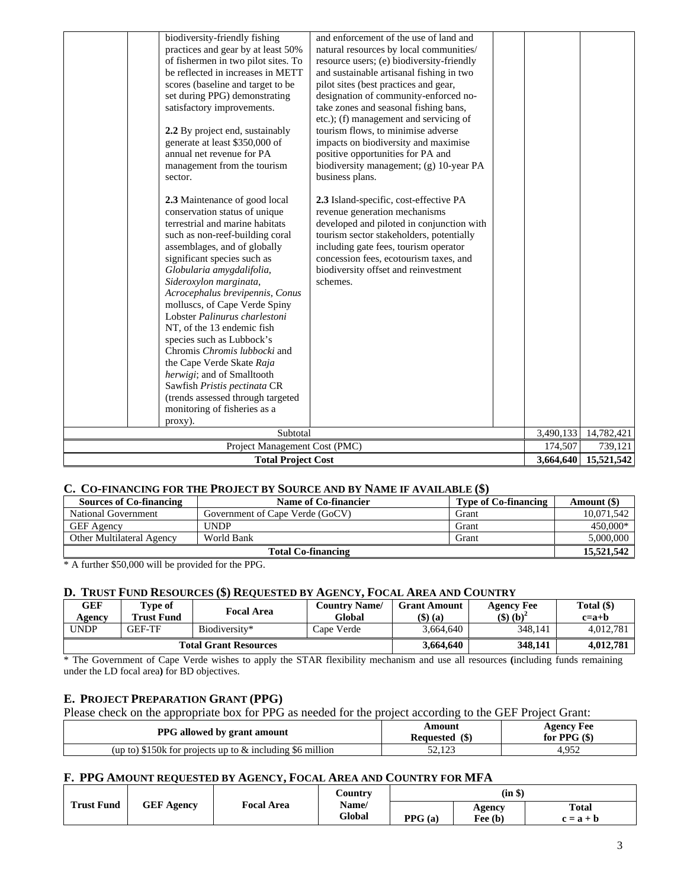| biodiversity-friendly fishing<br>practices and gear by at least 50%<br>of fishermen in two pilot sites. To<br>be reflected in increases in METT<br>scores (baseline and target to be<br>set during PPG) demonstrating<br>satisfactory improvements.<br>2.2 By project end, sustainably<br>generate at least \$350,000 of<br>annual net revenue for PA<br>management from the tourism<br>sector.<br>2.3 Maintenance of good local<br>conservation status of unique<br>terrestrial and marine habitats<br>such as non-reef-building coral<br>assemblages, and of globally<br>significant species such as<br>Globularia amygdalifolia,<br>Sideroxylon marginata,<br>Acrocephalus brevipennis, Conus<br>molluscs, of Cape Verde Spiny<br>Lobster Palinurus charlestoni<br>NT, of the 13 endemic fish<br>species such as Lubbock's<br>Chromis Chromis lubbocki and<br>the Cape Verde Skate Raja<br>herwigi; and of Smalltooth<br>Sawfish Pristis pectinata CR<br>(trends assessed through targeted<br>monitoring of fisheries as a<br>proxy). | and enforcement of the use of land and<br>natural resources by local communities/<br>resource users; (e) biodiversity-friendly<br>and sustainable artisanal fishing in two<br>pilot sites (best practices and gear,<br>designation of community-enforced no-<br>take zones and seasonal fishing bans,<br>etc.); (f) management and servicing of<br>tourism flows, to minimise adverse<br>impacts on biodiversity and maximise<br>positive opportunities for PA and<br>biodiversity management; (g) 10-year PA<br>business plans.<br>2.3 Island-specific, cost-effective PA<br>revenue generation mechanisms<br>developed and piloted in conjunction with<br>tourism sector stakeholders, potentially<br>including gate fees, tourism operator<br>concession fees, ecotourism taxes, and<br>biodiversity offset and reinvestment<br>schemes. | 3,490,133 | 14,782,421 |
|------------------------------------------------------------------------------------------------------------------------------------------------------------------------------------------------------------------------------------------------------------------------------------------------------------------------------------------------------------------------------------------------------------------------------------------------------------------------------------------------------------------------------------------------------------------------------------------------------------------------------------------------------------------------------------------------------------------------------------------------------------------------------------------------------------------------------------------------------------------------------------------------------------------------------------------------------------------------------------------------------------------------------------------|---------------------------------------------------------------------------------------------------------------------------------------------------------------------------------------------------------------------------------------------------------------------------------------------------------------------------------------------------------------------------------------------------------------------------------------------------------------------------------------------------------------------------------------------------------------------------------------------------------------------------------------------------------------------------------------------------------------------------------------------------------------------------------------------------------------------------------------------|-----------|------------|
|                                                                                                                                                                                                                                                                                                                                                                                                                                                                                                                                                                                                                                                                                                                                                                                                                                                                                                                                                                                                                                          | Subtotal                                                                                                                                                                                                                                                                                                                                                                                                                                                                                                                                                                                                                                                                                                                                                                                                                                    |           |            |
| Project Management Cost (PMC)                                                                                                                                                                                                                                                                                                                                                                                                                                                                                                                                                                                                                                                                                                                                                                                                                                                                                                                                                                                                            | 174,507                                                                                                                                                                                                                                                                                                                                                                                                                                                                                                                                                                                                                                                                                                                                                                                                                                     | 739,121   |            |
| <b>Total Project Cost</b>                                                                                                                                                                                                                                                                                                                                                                                                                                                                                                                                                                                                                                                                                                                                                                                                                                                                                                                                                                                                                |                                                                                                                                                                                                                                                                                                                                                                                                                                                                                                                                                                                                                                                                                                                                                                                                                                             | 3,664,640 | 15,521,542 |

## **C. CO-FINANCING FOR THE PROJECT BY SOURCE AND BY NAME IF AVAILABLE (\$)**

| <b>Sources of Co-financing</b>   | Name of Co-financier            | Type of Co-financing | Amount (\$) |  |
|----------------------------------|---------------------------------|----------------------|-------------|--|
| National Government              | Government of Cape Verde (GoCV) | Grant                | 10,071,542  |  |
| <b>GEF</b> Agency                | UNDP                            | Grant                | 450,000*    |  |
| <b>Other Multilateral Agency</b> | World Bank                      | Grant                | 5,000,000   |  |
| <b>Total Co-financing</b>        |                                 |                      |             |  |

\* A further \$50,000 will be provided for the PPG.

## **D. TRUST FUND RESOURCES (\$) REQUESTED BY AGENCY, FOCAL AREA AND COUNTRY**

| GEF<br>Agency                | l'vpe of<br><b>Trust Fund</b> | Focal Area    | <b>Country Name/</b><br>Global | <b>Grant Amount</b><br>(\$) (a) | <b>Agency Fee</b><br>$($ \$) $(b)$ <sup>2</sup> | Total $(\$)$<br>$c=a+b$ |
|------------------------------|-------------------------------|---------------|--------------------------------|---------------------------------|-------------------------------------------------|-------------------------|
| UNDP                         | <b>GEF-TF</b>                 | Biodiversity* | Cape Verde                     | 3.664.640                       | 348.141                                         | 4.012.781               |
| <b>Total Grant Resources</b> |                               |               | 3,664,640                      | 348.141                         | 4.012.781                                       |                         |

\* The Government of Cape Verde wishes to apply the STAR flexibility mechanism and use all resources **(**including funds remaining under the LD focal area**)** for BD objectives.

#### **E. PROJECT PREPARATION GRANT (PPG)**

Please check on the appropriate box for PPG as needed for the project according to the GEF Project Grant:

| <b>PPG</b> allowed by grant amount                           | Amount<br>Requested (\$) | <b>Agency Fee</b><br>for PPG $(\$)$ |
|--------------------------------------------------------------|--------------------------|-------------------------------------|
| (up to) \$150k for projects up to $\&$ including \$6 million | 50.102<br>ن عدد کر       | 4.952                               |

### **F. PPG AMOUNT REQUESTED BY AGENCY, FOCAL AREA AND COUNTRY FOR MFA**

|                   |                   |                   | $\mathcal{L}$ ountry |        | (in \$)             |                             |
|-------------------|-------------------|-------------------|----------------------|--------|---------------------|-----------------------------|
| <b>Trust Fund</b> | <b>GEF Agency</b> | <b>Focal Area</b> | Name/<br>Global      | PPG(a) | Agency<br>Fee $(b)$ | <b>Total</b><br>$c = a + b$ |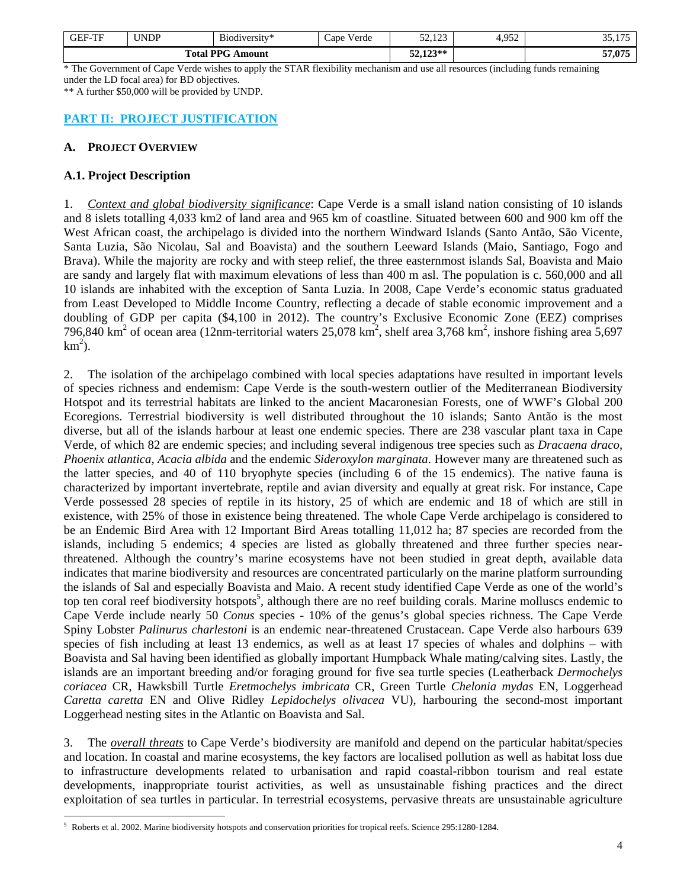| <b>GEF-TF</b>                                         | <b>INDP</b> | $\mathbf{r}$<br>- 1<br>B <sub>10</sub> d <sub>1</sub> versity* | $ -$<br>/ erde<br>$\angle$ ape | $\sim$ 100<br>ر در در د | 052<br>T. <i>J J L</i> | $\rightarrow$<br>$\sim$ $\sim$<br>ジジュエ |
|-------------------------------------------------------|-------------|----------------------------------------------------------------|--------------------------------|-------------------------|------------------------|----------------------------------------|
| $\mathbf{D} \mathbf{D} \mathbf{C}$<br>`ota!<br>Amount |             |                                                                | $123**$<br>سيديد               |                         | 57,075                 |                                        |

\* The Government of Cape Verde wishes to apply the STAR flexibility mechanism and use all resources (including funds remaining under the LD focal area) for BD objectives.

\*\* A further \$50,000 will be provided by UNDP.

## **PART II: PROJECT JUSTIFICATION**

## **A. PROJECT OVERVIEW**

## **A.1. Project Description**

1. *Context and global biodiversity significance*: Cape Verde is a small island nation consisting of 10 islands and 8 islets totalling 4,033 km2 of land area and 965 km of coastline. Situated between 600 and 900 km off the West African coast, the archipelago is divided into the northern Windward Islands (Santo Antão, São Vicente, Santa Luzia, São Nicolau, Sal and Boavista) and the southern Leeward Islands (Maio, Santiago, Fogo and Brava). While the majority are rocky and with steep relief, the three easternmost islands Sal, Boavista and Maio are sandy and largely flat with maximum elevations of less than 400 m asl. The population is c. 560,000 and all 10 islands are inhabited with the exception of Santa Luzia. In 2008, Cape Verde's economic status graduated from Least Developed to Middle Income Country, reflecting a decade of stable economic improvement and a doubling of GDP per capita (\$4,100 in 2012). The country's Exclusive Economic Zone (EEZ) comprises 796,840 km<sup>2</sup> of ocean area (12nm-territorial waters 25,078 km<sup>2</sup>, shelf area 3,768 km<sup>2</sup>, inshore fishing area 5,697  $km^2$ ).

2. The isolation of the archipelago combined with local species adaptations have resulted in important levels of species richness and endemism: Cape Verde is the south-western outlier of the Mediterranean Biodiversity Hotspot and its terrestrial habitats are linked to the ancient Macaronesian Forests, one of WWF's Global 200 Ecoregions. Terrestrial biodiversity is well distributed throughout the 10 islands; Santo Antão is the most diverse, but all of the islands harbour at least one endemic species. There are 238 vascular plant taxa in Cape Verde, of which 82 are endemic species; and including several indigenous tree species such as *Dracaena draco*, *Phoenix atlantica, Acacia albida* and the endemic *Sideroxylon marginata*. However many are threatened such as the latter species, and 40 of 110 bryophyte species (including 6 of the 15 endemics). The native fauna is characterized by important invertebrate, reptile and avian diversity and equally at great risk. For instance, Cape Verde possessed 28 species of reptile in its history, 25 of which are endemic and 18 of which are still in existence, with 25% of those in existence being threatened. The whole Cape Verde archipelago is considered to be an Endemic Bird Area with 12 Important Bird Areas totalling 11,012 ha; 87 species are recorded from the islands, including 5 endemics; 4 species are listed as globally threatened and three further species nearthreatened. Although the country's marine ecosystems have not been studied in great depth, available data indicates that marine biodiversity and resources are concentrated particularly on the marine platform surrounding the islands of Sal and especially Boavista and Maio. A recent study identified Cape Verde as one of the world's top ten coral reef biodiversity hotspots<sup>5</sup>, although there are no reef building corals. Marine molluscs endemic to Cape Verde include nearly 50 *Conus* species - 10% of the genus's global species richness. The Cape Verde Spiny Lobster *Palinurus charlestoni* is an endemic near-threatened Crustacean. Cape Verde also harbours 639 species of fish including at least 13 endemics, as well as at least 17 species of whales and dolphins – with Boavista and Sal having been identified as globally important Humpback Whale mating/calving sites. Lastly, the islands are an important breeding and/or foraging ground for five sea turtle species (Leatherback *Dermochelys coriacea* CR, Hawksbill Turtle *Eretmochelys imbricata* CR, Green Turtle *Chelonia mydas* EN, Loggerhead *Caretta caretta* EN and Olive Ridley *Lepidochelys olivacea* VU), harbouring the second-most important Loggerhead nesting sites in the Atlantic on Boavista and Sal.

3. The *overall threats* to Cape Verde's biodiversity are manifold and depend on the particular habitat/species and location. In coastal and marine ecosystems, the key factors are localised pollution as well as habitat loss due to infrastructure developments related to urbanisation and rapid coastal-ribbon tourism and real estate developments, inappropriate tourist activities, as well as unsustainable fishing practices and the direct exploitation of sea turtles in particular. In terrestrial ecosystems, pervasive threats are unsustainable agriculture

 $\overline{a}$ 5 Roberts et al. 2002. Marine biodiversity hotspots and conservation priorities for tropical reefs. Science 295:1280-1284.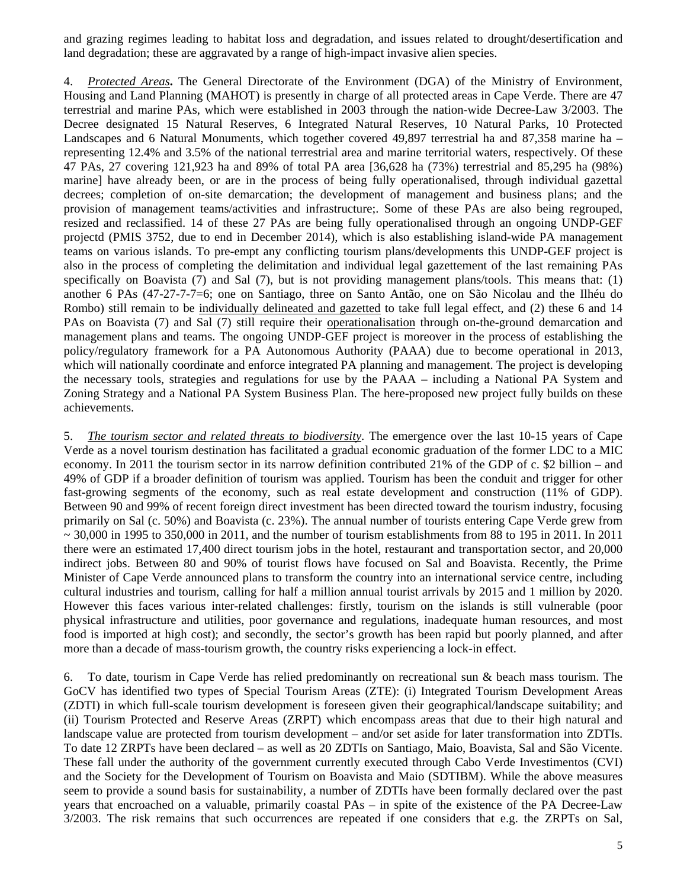and grazing regimes leading to habitat loss and degradation, and issues related to drought/desertification and land degradation; these are aggravated by a range of high-impact invasive alien species.

4. *Protected Areas***.** The General Directorate of the Environment (DGA) of the Ministry of Environment, Housing and Land Planning (MAHOT) is presently in charge of all protected areas in Cape Verde. There are 47 terrestrial and marine PAs, which were established in 2003 through the nation-wide Decree-Law 3/2003. The Decree designated 15 Natural Reserves, 6 Integrated Natural Reserves, 10 Natural Parks, 10 Protected Landscapes and 6 Natural Monuments, which together covered 49,897 terrestrial ha and 87,358 marine ha – representing 12.4% and 3.5% of the national terrestrial area and marine territorial waters, respectively. Of these 47 PAs, 27 covering 121,923 ha and 89% of total PA area [36,628 ha (73%) terrestrial and 85,295 ha (98%) marine] have already been, or are in the process of being fully operationalised, through individual gazettal decrees; completion of on-site demarcation; the development of management and business plans; and the provision of management teams/activities and infrastructure;. Some of these PAs are also being regrouped, resized and reclassified. 14 of these 27 PAs are being fully operationalised through an ongoing UNDP-GEF projectd (PMIS 3752, due to end in December 2014), which is also establishing island-wide PA management teams on various islands. To pre-empt any conflicting tourism plans/developments this UNDP-GEF project is also in the process of completing the delimitation and individual legal gazettement of the last remaining PAs specifically on Boavista (7) and Sal (7), but is not providing management plans/tools. This means that:  $(1)$ another 6 PAs (47-27-7-7=6; one on Santiago, three on Santo Antão, one on São Nicolau and the Ilhéu do Rombo) still remain to be individually delineated and gazetted to take full legal effect, and (2) these 6 and 14 PAs on Boavista (7) and Sal (7) still require their operationalisation through on-the-ground demarcation and management plans and teams. The ongoing UNDP-GEF project is moreover in the process of establishing the policy/regulatory framework for a PA Autonomous Authority (PAAA) due to become operational in 2013, which will nationally coordinate and enforce integrated PA planning and management. The project is developing the necessary tools, strategies and regulations for use by the PAAA – including a National PA System and Zoning Strategy and a National PA System Business Plan. The here-proposed new project fully builds on these achievements.

5. *The tourism sector and related threats to biodiversity*. The emergence over the last 10-15 years of Cape Verde as a novel tourism destination has facilitated a gradual economic graduation of the former LDC to a MIC economy. In 2011 the tourism sector in its narrow definition contributed 21% of the GDP of c. \$2 billion – and 49% of GDP if a broader definition of tourism was applied. Tourism has been the conduit and trigger for other fast-growing segments of the economy, such as real estate development and construction (11% of GDP). Between 90 and 99% of recent foreign direct investment has been directed toward the tourism industry, focusing primarily on Sal (c. 50%) and Boavista (c. 23%). The annual number of tourists entering Cape Verde grew from  $\sim$  30,000 in 1995 to 350,000 in 2011, and the number of tourism establishments from 88 to 195 in 2011. In 2011 there were an estimated 17,400 direct tourism jobs in the hotel, restaurant and transportation sector, and 20,000 indirect jobs. Between 80 and 90% of tourist flows have focused on Sal and Boavista. Recently, the Prime Minister of Cape Verde announced plans to transform the country into an international service centre, including cultural industries and tourism, calling for half a million annual tourist arrivals by 2015 and 1 million by 2020. However this faces various inter-related challenges: firstly, tourism on the islands is still vulnerable (poor physical infrastructure and utilities, poor governance and regulations, inadequate human resources, and most food is imported at high cost); and secondly, the sector's growth has been rapid but poorly planned, and after more than a decade of mass-tourism growth, the country risks experiencing a lock-in effect.

6. To date, tourism in Cape Verde has relied predominantly on recreational sun & beach mass tourism. The GoCV has identified two types of Special Tourism Areas (ZTE): (i) Integrated Tourism Development Areas (ZDTI) in which full-scale tourism development is foreseen given their geographical/landscape suitability; and (ii) Tourism Protected and Reserve Areas (ZRPT) which encompass areas that due to their high natural and landscape value are protected from tourism development – and/or set aside for later transformation into ZDTIs. To date 12 ZRPTs have been declared – as well as 20 ZDTIs on Santiago, Maio, Boavista, Sal and São Vicente. These fall under the authority of the government currently executed through Cabo Verde Investimentos (CVI) and the Society for the Development of Tourism on Boavista and Maio (SDTIBM). While the above measures seem to provide a sound basis for sustainability, a number of ZDTIs have been formally declared over the past years that encroached on a valuable, primarily coastal PAs – in spite of the existence of the PA Decree-Law 3/2003. The risk remains that such occurrences are repeated if one considers that e.g. the ZRPTs on Sal,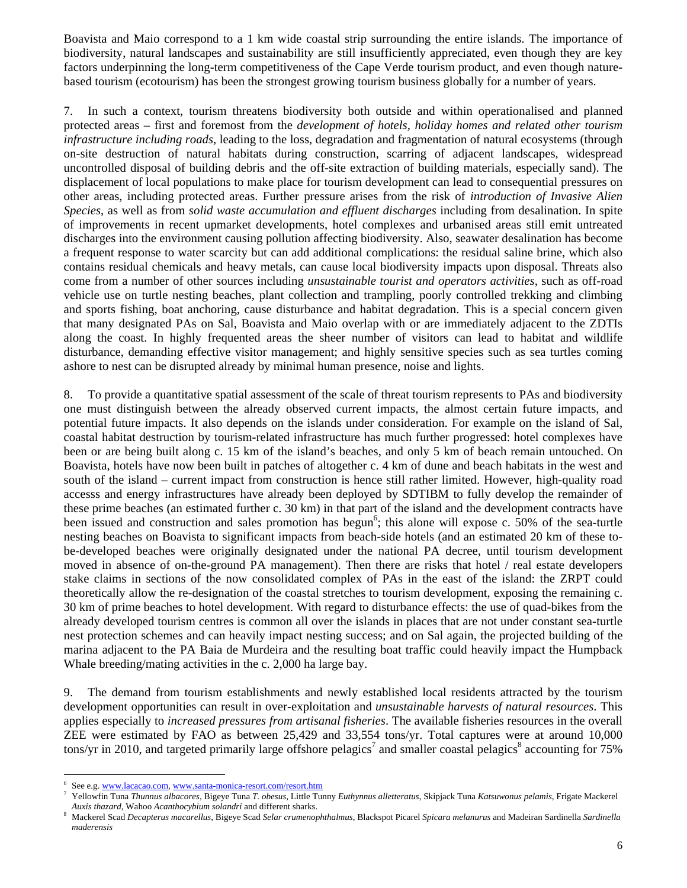Boavista and Maio correspond to a 1 km wide coastal strip surrounding the entire islands. The importance of biodiversity, natural landscapes and sustainability are still insufficiently appreciated, even though they are key factors underpinning the long-term competitiveness of the Cape Verde tourism product, and even though naturebased tourism (ecotourism) has been the strongest growing tourism business globally for a number of years.

7. In such a context, tourism threatens biodiversity both outside and within operationalised and planned protected areas – first and foremost from the *development of hotels, holiday homes and related other tourism infrastructure including roads*, leading to the loss, degradation and fragmentation of natural ecosystems (through on-site destruction of natural habitats during construction, scarring of adjacent landscapes, widespread uncontrolled disposal of building debris and the off-site extraction of building materials, especially sand). The displacement of local populations to make place for tourism development can lead to consequential pressures on other areas, including protected areas. Further pressure arises from the risk of *introduction of Invasive Alien Species*, as well as from *solid waste accumulation and effluent discharges* including from desalination. In spite of improvements in recent upmarket developments, hotel complexes and urbanised areas still emit untreated discharges into the environment causing pollution affecting biodiversity. Also, seawater desalination has become a frequent response to water scarcity but can add additional complications: the residual saline brine, which also contains residual chemicals and heavy metals, can cause local biodiversity impacts upon disposal. Threats also come from a number of other sources including *unsustainable tourist and operators activities,* such as off-road vehicle use on turtle nesting beaches, plant collection and trampling, poorly controlled trekking and climbing and sports fishing, boat anchoring, cause disturbance and habitat degradation. This is a special concern given that many designated PAs on Sal, Boavista and Maio overlap with or are immediately adjacent to the ZDTIs along the coast. In highly frequented areas the sheer number of visitors can lead to habitat and wildlife disturbance, demanding effective visitor management; and highly sensitive species such as sea turtles coming ashore to nest can be disrupted already by minimal human presence, noise and lights.

8. To provide a quantitative spatial assessment of the scale of threat tourism represents to PAs and biodiversity one must distinguish between the already observed current impacts, the almost certain future impacts, and potential future impacts. It also depends on the islands under consideration. For example on the island of Sal, coastal habitat destruction by tourism-related infrastructure has much further progressed: hotel complexes have been or are being built along c. 15 km of the island's beaches, and only 5 km of beach remain untouched. On Boavista, hotels have now been built in patches of altogether c. 4 km of dune and beach habitats in the west and south of the island – current impact from construction is hence still rather limited. However, high-quality road accesss and energy infrastructures have already been deployed by SDTIBM to fully develop the remainder of these prime beaches (an estimated further c. 30 km) in that part of the island and the development contracts have been issued and construction and sales promotion has begun<sup>6</sup>; this alone will expose c. 50% of the sea-turtle nesting beaches on Boavista to significant impacts from beach-side hotels (and an estimated 20 km of these tobe-developed beaches were originally designated under the national PA decree, until tourism development moved in absence of on-the-ground PA management). Then there are risks that hotel / real estate developers stake claims in sections of the now consolidated complex of PAs in the east of the island: the ZRPT could theoretically allow the re-designation of the coastal stretches to tourism development, exposing the remaining c. 30 km of prime beaches to hotel development. With regard to disturbance effects: the use of quad-bikes from the already developed tourism centres is common all over the islands in places that are not under constant sea-turtle nest protection schemes and can heavily impact nesting success; and on Sal again, the projected building of the marina adjacent to the PA Baia de Murdeira and the resulting boat traffic could heavily impact the Humpback Whale breeding/mating activities in the c. 2,000 ha large bay.

9. The demand from tourism establishments and newly established local residents attracted by the tourism development opportunities can result in over-exploitation and *unsustainable harvests of natural resources*. This applies especially to *increased pressures from artisanal fisheries*. The available fisheries resources in the overall ZEE were estimated by FAO as between 25,429 and 33,554 tons/yr. Total captures were at around 10,000 tons/yr in 2010, and targeted primarily large offshore pelagics<sup>7</sup> and smaller coastal pelagics<sup>8</sup> accounting for 75%

<sup>6</sup> See e.g. www.lacacao.com, www.santa-monica-resort.com/resort.htm

Yellowfin Tuna *Thunnus albacores*, Bigeye Tuna *T. obesus*, Little Tunny *Euthynnus alletteratus*, Skipjack Tuna *Katsuwonus pelamis*, Frigate Mackerel *Auxis thazard*, Wahoo *Acanthocybium solandri* and different sharks. 8

Mackerel Scad *Decapterus macarellus*, Bigeye Scad *Selar crumenophthalmus*, Blackspot Picarel *Spicara melanurus* and Madeiran Sardinella *Sardinella maderensis*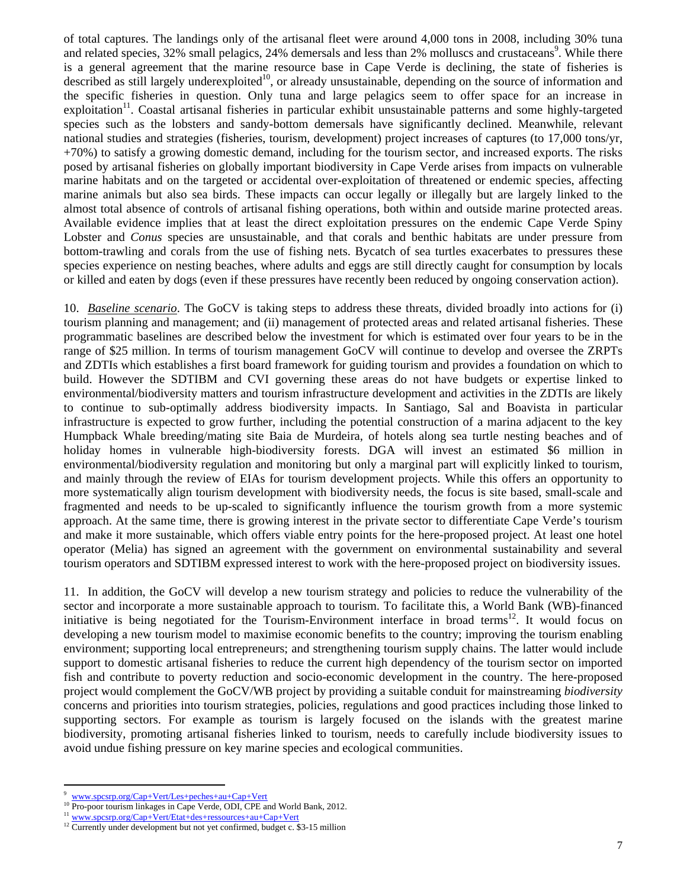of total captures. The landings only of the artisanal fleet were around 4,000 tons in 2008, including 30% tuna and related species, 32% small pelagics, 24% demersals and less than 2% molluscs and crustaceans<sup>9</sup>. While there is a general agreement that the marine resource base in Cape Verde is declining, the state of fisheries is described as still largely underexploited<sup>10</sup>, or already unsustainable, depending on the source of information and the specific fisheries in question. Only tuna and large pelagics seem to offer space for an increase in exploitation<sup>11</sup>. Coastal artisanal fisheries in particular exhibit unsustainable patterns and some highly-targeted species such as the lobsters and sandy-bottom demersals have significantly declined. Meanwhile, relevant national studies and strategies (fisheries, tourism, development) project increases of captures (to 17,000 tons/yr, +70%) to satisfy a growing domestic demand, including for the tourism sector, and increased exports. The risks posed by artisanal fisheries on globally important biodiversity in Cape Verde arises from impacts on vulnerable marine habitats and on the targeted or accidental over-exploitation of threatened or endemic species, affecting marine animals but also sea birds. These impacts can occur legally or illegally but are largely linked to the almost total absence of controls of artisanal fishing operations, both within and outside marine protected areas. Available evidence implies that at least the direct exploitation pressures on the endemic Cape Verde Spiny Lobster and *Conus* species are unsustainable, and that corals and benthic habitats are under pressure from bottom-trawling and corals from the use of fishing nets. Bycatch of sea turtles exacerbates to pressures these species experience on nesting beaches, where adults and eggs are still directly caught for consumption by locals or killed and eaten by dogs (even if these pressures have recently been reduced by ongoing conservation action).

10. *Baseline scenario*. The GoCV is taking steps to address these threats, divided broadly into actions for (i) tourism planning and management; and (ii) management of protected areas and related artisanal fisheries. These programmatic baselines are described below the investment for which is estimated over four years to be in the range of \$25 million. In terms of tourism management GoCV will continue to develop and oversee the ZRPTs and ZDTIs which establishes a first board framework for guiding tourism and provides a foundation on which to build. However the SDTIBM and CVI governing these areas do not have budgets or expertise linked to environmental/biodiversity matters and tourism infrastructure development and activities in the ZDTIs are likely to continue to sub-optimally address biodiversity impacts. In Santiago, Sal and Boavista in particular infrastructure is expected to grow further, including the potential construction of a marina adjacent to the key Humpback Whale breeding/mating site Baia de Murdeira, of hotels along sea turtle nesting beaches and of holiday homes in vulnerable high-biodiversity forests. DGA will invest an estimated \$6 million in environmental/biodiversity regulation and monitoring but only a marginal part will explicitly linked to tourism, and mainly through the review of EIAs for tourism development projects. While this offers an opportunity to more systematically align tourism development with biodiversity needs, the focus is site based, small-scale and fragmented and needs to be up-scaled to significantly influence the tourism growth from a more systemic approach. At the same time, there is growing interest in the private sector to differentiate Cape Verde's tourism and make it more sustainable, which offers viable entry points for the here-proposed project. At least one hotel operator (Melia) has signed an agreement with the government on environmental sustainability and several tourism operators and SDTIBM expressed interest to work with the here-proposed project on biodiversity issues.

11. In addition, the GoCV will develop a new tourism strategy and policies to reduce the vulnerability of the sector and incorporate a more sustainable approach to tourism. To facilitate this, a World Bank (WB)-financed initiative is being negotiated for the Tourism-Environment interface in broad terms<sup>12</sup>. It would focus on developing a new tourism model to maximise economic benefits to the country; improving the tourism enabling environment; supporting local entrepreneurs; and strengthening tourism supply chains. The latter would include support to domestic artisanal fisheries to reduce the current high dependency of the tourism sector on imported fish and contribute to poverty reduction and socio-economic development in the country. The here-proposed project would complement the GoCV/WB project by providing a suitable conduit for mainstreaming *biodiversity* concerns and priorities into tourism strategies, policies, regulations and good practices including those linked to supporting sectors. For example as tourism is largely focused on the islands with the greatest marine biodiversity, promoting artisanal fisheries linked to tourism, needs to carefully include biodiversity issues to avoid undue fishing pressure on key marine species and ecological communities.

<sup>9</sup>

 $\frac{9 \text{ www.spcsrp.org/Cap+Vert/Les+peches+au+Cap+Vert}}{10 \text{ Pro-poor tourism linkages in Cape Verde, ODI, CPE and World Bank, 2012.}}$ 

<sup>&</sup>lt;sup>11</sup> www.spcsrp.org/Cap+Vert/Etat+des+ressources+au+Cap+Vert<br><sup>12</sup> Currently under development but not yet confirmed, budget c. \$3-15 million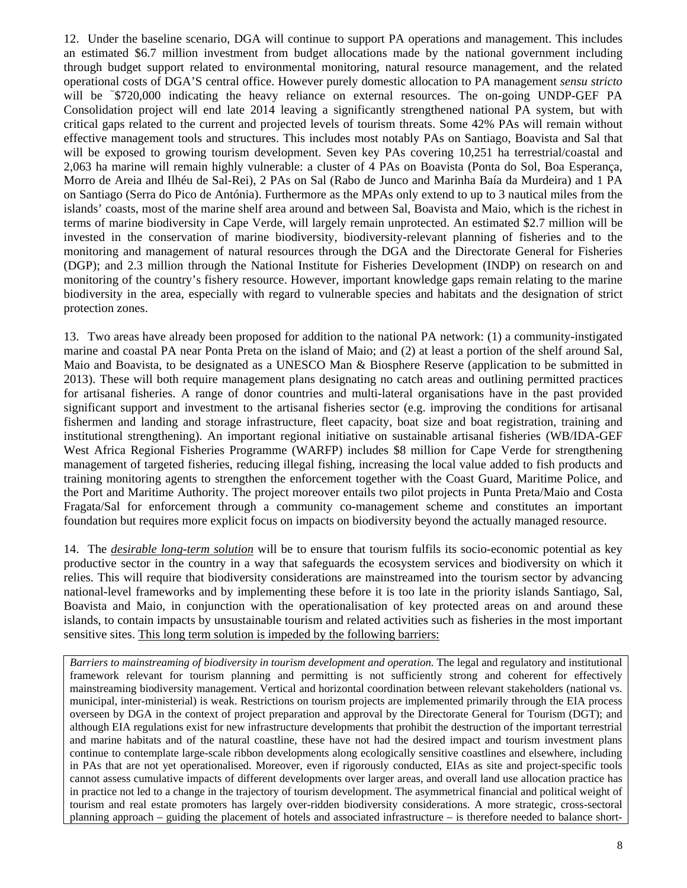12. Under the baseline scenario, DGA will continue to support PA operations and management. This includes an estimated \$6.7 million investment from budget allocations made by the national government including through budget support related to environmental monitoring, natural resource management, and the related operational costs of DGA'S central office. However purely domestic allocation to PA management *sensu stricto* will be ~\$720,000 indicating the heavy reliance on external resources. The on-going UNDP-GEF PA Consolidation project will end late 2014 leaving a significantly strengthened national PA system, but with critical gaps related to the current and projected levels of tourism threats. Some 42% PAs will remain without effective management tools and structures. This includes most notably PAs on Santiago, Boavista and Sal that will be exposed to growing tourism development. Seven key PAs covering 10,251 ha terrestrial/coastal and 2,063 ha marine will remain highly vulnerable: a cluster of 4 PAs on Boavista (Ponta do Sol, Boa Esperança, Morro de Areia and Ilhéu de Sal-Rei), 2 PAs on Sal (Rabo de Junco and Marinha Baía da Murdeira) and 1 PA on Santiago (Serra do Pico de Antónia). Furthermore as the MPAs only extend to up to 3 nautical miles from the islands' coasts, most of the marine shelf area around and between Sal, Boavista and Maio, which is the richest in terms of marine biodiversity in Cape Verde, will largely remain unprotected. An estimated \$2.7 million will be invested in the conservation of marine biodiversity, biodiversity-relevant planning of fisheries and to the monitoring and management of natural resources through the DGA and the Directorate General for Fisheries (DGP); and 2.3 million through the National Institute for Fisheries Development (INDP) on research on and monitoring of the country's fishery resource. However, important knowledge gaps remain relating to the marine biodiversity in the area, especially with regard to vulnerable species and habitats and the designation of strict protection zones.

13. Two areas have already been proposed for addition to the national PA network: (1) a community-instigated marine and coastal PA near Ponta Preta on the island of Maio; and (2) at least a portion of the shelf around Sal, Maio and Boavista, to be designated as a UNESCO Man & Biosphere Reserve (application to be submitted in 2013). These will both require management plans designating no catch areas and outlining permitted practices for artisanal fisheries. A range of donor countries and multi-lateral organisations have in the past provided significant support and investment to the artisanal fisheries sector (e.g. improving the conditions for artisanal fishermen and landing and storage infrastructure, fleet capacity, boat size and boat registration, training and institutional strengthening). An important regional initiative on sustainable artisanal fisheries (WB/IDA-GEF West Africa Regional Fisheries Programme (WARFP) includes \$8 million for Cape Verde for strengthening management of targeted fisheries, reducing illegal fishing, increasing the local value added to fish products and training monitoring agents to strengthen the enforcement together with the Coast Guard, Maritime Police, and the Port and Maritime Authority. The project moreover entails two pilot projects in Punta Preta/Maio and Costa Fragata/Sal for enforcement through a community co-management scheme and constitutes an important foundation but requires more explicit focus on impacts on biodiversity beyond the actually managed resource.

14. The *desirable long-term solution* will be to ensure that tourism fulfils its socio-economic potential as key productive sector in the country in a way that safeguards the ecosystem services and biodiversity on which it relies. This will require that biodiversity considerations are mainstreamed into the tourism sector by advancing national-level frameworks and by implementing these before it is too late in the priority islands Santiago, Sal, Boavista and Maio, in conjunction with the operationalisation of key protected areas on and around these islands, to contain impacts by unsustainable tourism and related activities such as fisheries in the most important sensitive sites. This long term solution is impeded by the following barriers:

*Barriers to mainstreaming of biodiversity in tourism development and operation.* The legal and regulatory and institutional framework relevant for tourism planning and permitting is not sufficiently strong and coherent for effectively mainstreaming biodiversity management. Vertical and horizontal coordination between relevant stakeholders (national vs. municipal, inter-ministerial) is weak. Restrictions on tourism projects are implemented primarily through the EIA process overseen by DGA in the context of project preparation and approval by the Directorate General for Tourism (DGT); and although EIA regulations exist for new infrastructure developments that prohibit the destruction of the important terrestrial and marine habitats and of the natural coastline, these have not had the desired impact and tourism investment plans continue to contemplate large-scale ribbon developments along ecologically sensitive coastlines and elsewhere, including in PAs that are not yet operationalised. Moreover, even if rigorously conducted, EIAs as site and project-specific tools cannot assess cumulative impacts of different developments over larger areas, and overall land use allocation practice has in practice not led to a change in the trajectory of tourism development. The asymmetrical financial and political weight of tourism and real estate promoters has largely over-ridden biodiversity considerations. A more strategic, cross-sectoral planning approach – guiding the placement of hotels and associated infrastructure – is therefore needed to balance short-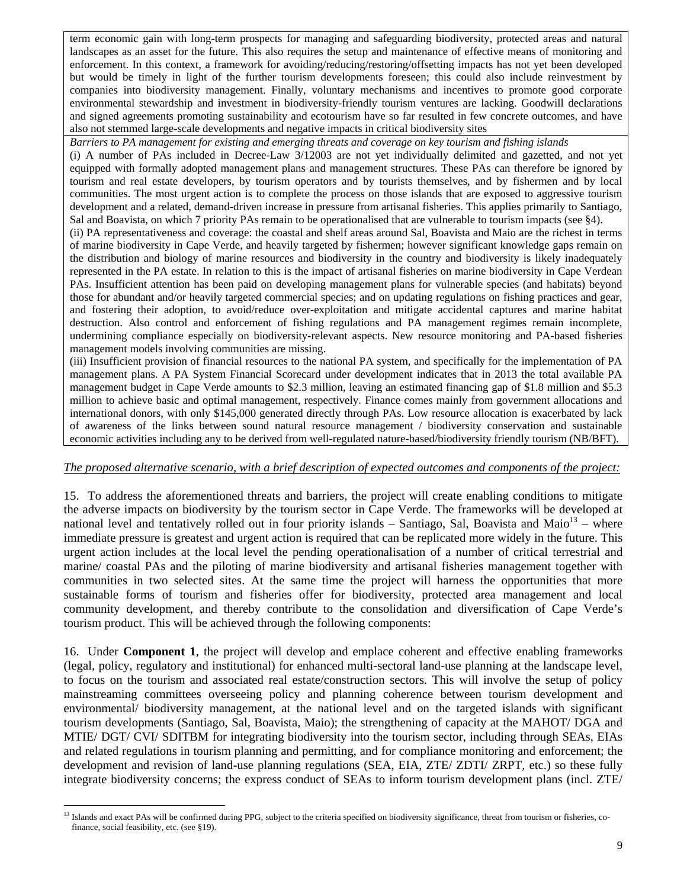term economic gain with long-term prospects for managing and safeguarding biodiversity, protected areas and natural landscapes as an asset for the future. This also requires the setup and maintenance of effective means of monitoring and enforcement. In this context, a framework for avoiding/reducing/restoring/offsetting impacts has not yet been developed but would be timely in light of the further tourism developments foreseen; this could also include reinvestment by companies into biodiversity management. Finally, voluntary mechanisms and incentives to promote good corporate environmental stewardship and investment in biodiversity-friendly tourism ventures are lacking. Goodwill declarations and signed agreements promoting sustainability and ecotourism have so far resulted in few concrete outcomes, and have also not stemmed large-scale developments and negative impacts in critical biodiversity sites

*Barriers to PA management for existing and emerging threats and coverage on key tourism and fishing islands*

(i) A number of PAs included in Decree-Law 3/12003 are not yet individually delimited and gazetted, and not yet equipped with formally adopted management plans and management structures. These PAs can therefore be ignored by tourism and real estate developers, by tourism operators and by tourists themselves, and by fishermen and by local communities. The most urgent action is to complete the process on those islands that are exposed to aggressive tourism development and a related, demand-driven increase in pressure from artisanal fisheries. This applies primarily to Santiago, Sal and Boavista, on which 7 priority PAs remain to be operationalised that are vulnerable to tourism impacts (see §4).

(ii) PA representativeness and coverage: the coastal and shelf areas around Sal, Boavista and Maio are the richest in terms of marine biodiversity in Cape Verde, and heavily targeted by fishermen; however significant knowledge gaps remain on the distribution and biology of marine resources and biodiversity in the country and biodiversity is likely inadequately represented in the PA estate. In relation to this is the impact of artisanal fisheries on marine biodiversity in Cape Verdean PAs. Insufficient attention has been paid on developing management plans for vulnerable species (and habitats) beyond those for abundant and/or heavily targeted commercial species; and on updating regulations on fishing practices and gear, and fostering their adoption, to avoid/reduce over-exploitation and mitigate accidental captures and marine habitat destruction. Also control and enforcement of fishing regulations and PA management regimes remain incomplete, undermining compliance especially on biodiversity-relevant aspects. New resource monitoring and PA-based fisheries management models involving communities are missing.

(iii) Insufficient provision of financial resources to the national PA system, and specifically for the implementation of PA management plans. A PA System Financial Scorecard under development indicates that in 2013 the total available PA management budget in Cape Verde amounts to \$2.3 million, leaving an estimated financing gap of \$1.8 million and \$5.3 million to achieve basic and optimal management, respectively. Finance comes mainly from government allocations and international donors, with only \$145,000 generated directly through PAs. Low resource allocation is exacerbated by lack of awareness of the links between sound natural resource management / biodiversity conservation and sustainable economic activities including any to be derived from well-regulated nature-based/biodiversity friendly tourism (NB/BFT).

#### *The proposed alternative scenario, with a brief description of expected outcomes and components of the project:*

15. To address the aforementioned threats and barriers, the project will create enabling conditions to mitigate the adverse impacts on biodiversity by the tourism sector in Cape Verde. The frameworks will be developed at national level and tentatively rolled out in four priority islands – Santiago, Sal, Boavista and Maio<sup>13</sup> – where immediate pressure is greatest and urgent action is required that can be replicated more widely in the future. This urgent action includes at the local level the pending operationalisation of a number of critical terrestrial and marine/ coastal PAs and the piloting of marine biodiversity and artisanal fisheries management together with communities in two selected sites. At the same time the project will harness the opportunities that more sustainable forms of tourism and fisheries offer for biodiversity, protected area management and local community development, and thereby contribute to the consolidation and diversification of Cape Verde's tourism product. This will be achieved through the following components:

16. Under **Component 1**, the project will develop and emplace coherent and effective enabling frameworks (legal, policy, regulatory and institutional) for enhanced multi-sectoral land-use planning at the landscape level, to focus on the tourism and associated real estate/construction sectors. This will involve the setup of policy mainstreaming committees overseeing policy and planning coherence between tourism development and environmental/ biodiversity management, at the national level and on the targeted islands with significant tourism developments (Santiago, Sal, Boavista, Maio); the strengthening of capacity at the MAHOT/ DGA and MTIE/ DGT/ CVI/ SDITBM for integrating biodiversity into the tourism sector, including through SEAs, EIAs and related regulations in tourism planning and permitting, and for compliance monitoring and enforcement; the development and revision of land-use planning regulations (SEA, EIA, ZTE/ ZDTI/ ZRPT, etc.) so these fully integrate biodiversity concerns; the express conduct of SEAs to inform tourism development plans (incl. ZTE/

<sup>&</sup>lt;sup>13</sup> Islands and exact PAs will be confirmed during PPG, subject to the criteria specified on biodiversity significance, threat from tourism or fisheries, cofinance, social feasibility, etc. (see §19).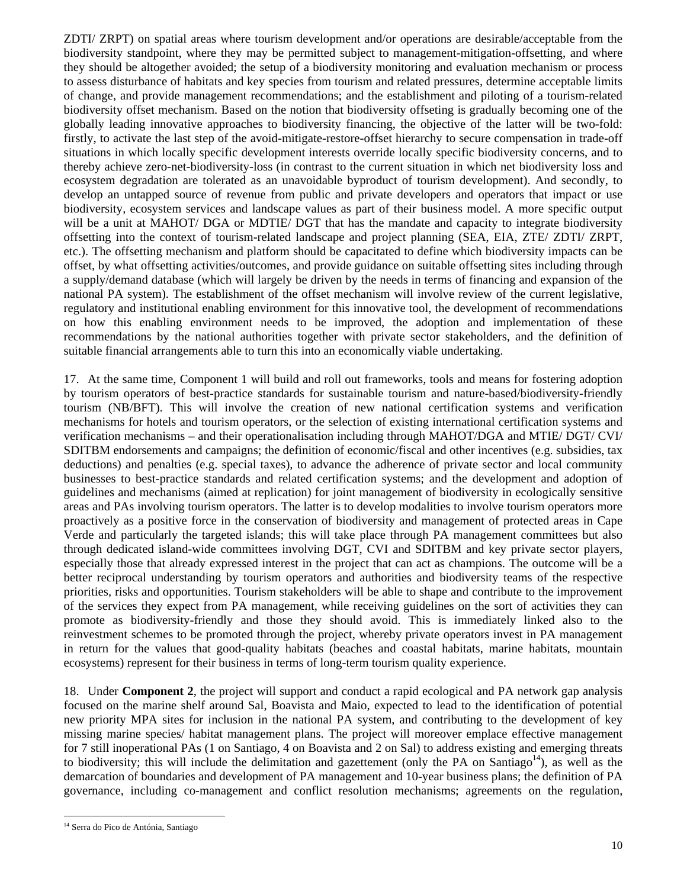ZDTI/ ZRPT) on spatial areas where tourism development and/or operations are desirable/acceptable from the biodiversity standpoint, where they may be permitted subject to management-mitigation-offsetting, and where they should be altogether avoided; the setup of a biodiversity monitoring and evaluation mechanism or process to assess disturbance of habitats and key species from tourism and related pressures, determine acceptable limits of change, and provide management recommendations; and the establishment and piloting of a tourism-related biodiversity offset mechanism. Based on the notion that biodiversity offseting is gradually becoming one of the globally leading innovative approaches to biodiversity financing, the objective of the latter will be two-fold: firstly, to activate the last step of the avoid-mitigate-restore-offset hierarchy to secure compensation in trade-off situations in which locally specific development interests override locally specific biodiversity concerns, and to thereby achieve zero-net-biodiversity-loss (in contrast to the current situation in which net biodiversity loss and ecosystem degradation are tolerated as an unavoidable byproduct of tourism development). And secondly, to develop an untapped source of revenue from public and private developers and operators that impact or use biodiversity, ecosystem services and landscape values as part of their business model. A more specific output will be a unit at MAHOT/ DGA or MDTIE/ DGT that has the mandate and capacity to integrate biodiversity offsetting into the context of tourism-related landscape and project planning (SEA, EIA, ZTE/ ZDTI/ ZRPT, etc.). The offsetting mechanism and platform should be capacitated to define which biodiversity impacts can be offset, by what offsetting activities/outcomes, and provide guidance on suitable offsetting sites including through a supply/demand database (which will largely be driven by the needs in terms of financing and expansion of the national PA system). The establishment of the offset mechanism will involve review of the current legislative, regulatory and institutional enabling environment for this innovative tool, the development of recommendations on how this enabling environment needs to be improved, the adoption and implementation of these recommendations by the national authorities together with private sector stakeholders, and the definition of suitable financial arrangements able to turn this into an economically viable undertaking.

17. At the same time, Component 1 will build and roll out frameworks, tools and means for fostering adoption by tourism operators of best-practice standards for sustainable tourism and nature-based/biodiversity-friendly tourism (NB/BFT). This will involve the creation of new national certification systems and verification mechanisms for hotels and tourism operators, or the selection of existing international certification systems and verification mechanisms – and their operationalisation including through MAHOT/DGA and MTIE/ DGT/ CVI/ SDITBM endorsements and campaigns; the definition of economic/fiscal and other incentives (e.g. subsidies, tax deductions) and penalties (e.g. special taxes), to advance the adherence of private sector and local community businesses to best-practice standards and related certification systems; and the development and adoption of guidelines and mechanisms (aimed at replication) for joint management of biodiversity in ecologically sensitive areas and PAs involving tourism operators. The latter is to develop modalities to involve tourism operators more proactively as a positive force in the conservation of biodiversity and management of protected areas in Cape Verde and particularly the targeted islands; this will take place through PA management committees but also through dedicated island-wide committees involving DGT, CVI and SDITBM and key private sector players, especially those that already expressed interest in the project that can act as champions. The outcome will be a better reciprocal understanding by tourism operators and authorities and biodiversity teams of the respective priorities, risks and opportunities. Tourism stakeholders will be able to shape and contribute to the improvement of the services they expect from PA management, while receiving guidelines on the sort of activities they can promote as biodiversity-friendly and those they should avoid. This is immediately linked also to the reinvestment schemes to be promoted through the project, whereby private operators invest in PA management in return for the values that good-quality habitats (beaches and coastal habitats, marine habitats, mountain ecosystems) represent for their business in terms of long-term tourism quality experience.

18. Under **Component 2**, the project will support and conduct a rapid ecological and PA network gap analysis focused on the marine shelf around Sal, Boavista and Maio, expected to lead to the identification of potential new priority MPA sites for inclusion in the national PA system, and contributing to the development of key missing marine species/ habitat management plans. The project will moreover emplace effective management for 7 still inoperational PAs (1 on Santiago, 4 on Boavista and 2 on Sal) to address existing and emerging threats to biodiversity; this will include the delimitation and gazettement (only the PA on Santiago<sup>14</sup>), as well as the demarcation of boundaries and development of PA management and 10-year business plans; the definition of PA governance, including co-management and conflict resolution mechanisms; agreements on the regulation,

<sup>&</sup>lt;sup>14</sup> Serra do Pico de Antónia, Santiago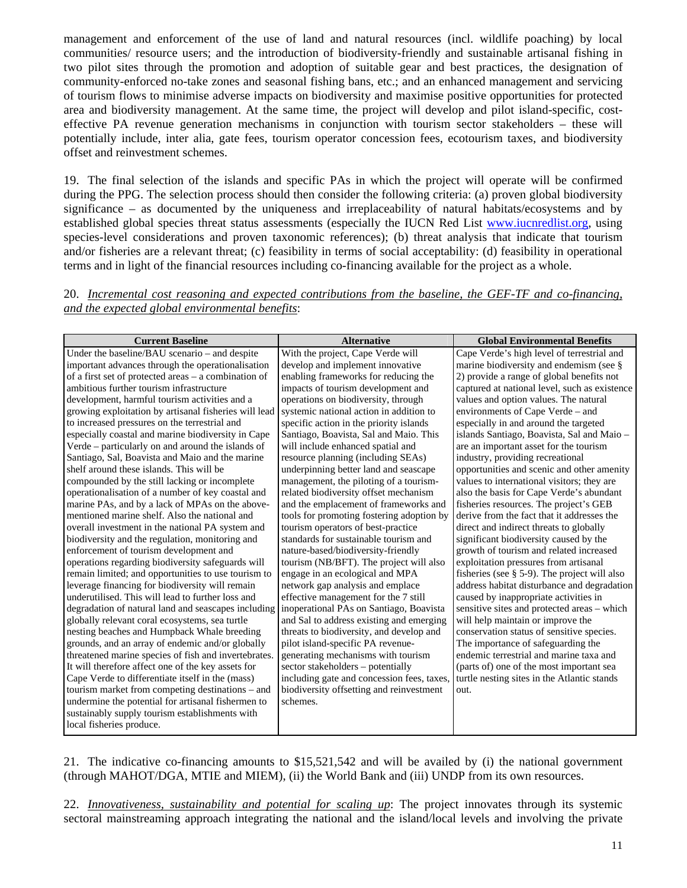management and enforcement of the use of land and natural resources (incl. wildlife poaching) by local communities/ resource users; and the introduction of biodiversity-friendly and sustainable artisanal fishing in two pilot sites through the promotion and adoption of suitable gear and best practices, the designation of community-enforced no-take zones and seasonal fishing bans, etc.; and an enhanced management and servicing of tourism flows to minimise adverse impacts on biodiversity and maximise positive opportunities for protected area and biodiversity management. At the same time, the project will develop and pilot island-specific, costeffective PA revenue generation mechanisms in conjunction with tourism sector stakeholders – these will potentially include, inter alia, gate fees, tourism operator concession fees, ecotourism taxes, and biodiversity offset and reinvestment schemes.

19. The final selection of the islands and specific PAs in which the project will operate will be confirmed during the PPG. The selection process should then consider the following criteria: (a) proven global biodiversity significance – as documented by the uniqueness and irreplaceability of natural habitats/ecosystems and by established global species threat status assessments (especially the IUCN Red List www.iucnredlist.org, using species-level considerations and proven taxonomic references); (b) threat analysis that indicate that tourism and/or fisheries are a relevant threat; (c) feasibility in terms of social acceptability: (d) feasibility in operational terms and in light of the financial resources including co-financing available for the project as a whole.

## 20. *Incremental cost reasoning and expected contributions from the baseline, the GEF-TF and co-financing, and the expected global environmental benefits*:

| <b>Current Baseline</b>                               | <b>Alternative</b>                         | <b>Global Environmental Benefits</b>            |
|-------------------------------------------------------|--------------------------------------------|-------------------------------------------------|
| Under the baseline/BAU scenario - and despite         | With the project, Cape Verde will          | Cape Verde's high level of terrestrial and      |
| important advances through the operationalisation     | develop and implement innovative           | marine biodiversity and endemism (see §         |
| of a first set of protected areas - a combination of  | enabling frameworks for reducing the       | 2) provide a range of global benefits not       |
| ambitious further tourism infrastructure              | impacts of tourism development and         | captured at national level, such as existence   |
| development, harmful tourism activities and a         | operations on biodiversity, through        | values and option values. The natural           |
| growing exploitation by artisanal fisheries will lead | systemic national action in addition to    | environments of Cape Verde – and                |
| to increased pressures on the terrestrial and         | specific action in the priority islands    | especially in and around the targeted           |
| especially coastal and marine biodiversity in Cape    | Santiago, Boavista, Sal and Maio. This     | islands Santiago, Boavista, Sal and Maio -      |
| Verde – particularly on and around the islands of     | will include enhanced spatial and          | are an important asset for the tourism          |
| Santiago, Sal, Boavista and Maio and the marine       | resource planning (including SEAs)         | industry, providing recreational                |
| shelf around these islands. This will be              | underpinning better land and seascape      | opportunities and scenic and other amenity      |
| compounded by the still lacking or incomplete         | management, the piloting of a tourism-     | values to international visitors; they are      |
| operationalisation of a number of key coastal and     | related biodiversity offset mechanism      | also the basis for Cape Verde's abundant        |
| marine PAs, and by a lack of MPAs on the above-       | and the emplacement of frameworks and      | fisheries resources. The project's GEB          |
| mentioned marine shelf. Also the national and         | tools for promoting fostering adoption by  | derive from the fact that it addresses the      |
| overall investment in the national PA system and      | tourism operators of best-practice         | direct and indirect threats to globally         |
| biodiversity and the regulation, monitoring and       | standards for sustainable tourism and      | significant biodiversity caused by the          |
| enforcement of tourism development and                | nature-based/biodiversity-friendly         | growth of tourism and related increased         |
| operations regarding biodiversity safeguards will     | tourism (NB/BFT). The project will also    | exploitation pressures from artisanal           |
| remain limited; and opportunities to use tourism to   | engage in an ecological and MPA            | fisheries (see $\S$ 5-9). The project will also |
| leverage financing for biodiversity will remain       | network gap analysis and emplace           | address habitat disturbance and degradation     |
| underutilised. This will lead to further loss and     | effective management for the 7 still       | caused by inappropriate activities in           |
| degradation of natural land and seascapes including   | inoperational PAs on Santiago, Boavista    | sensitive sites and protected areas - which     |
| globally relevant coral ecosystems, sea turtle        | and Sal to address existing and emerging   | will help maintain or improve the               |
| nesting beaches and Humpback Whale breeding           | threats to biodiversity, and develop and   | conservation status of sensitive species.       |
| grounds, and an array of endemic and/or globally      | pilot island-specific PA revenue-          | The importance of safeguarding the              |
| threatened marine species of fish and invertebrates.  | generating mechanisms with tourism         | endemic terrestrial and marine taxa and         |
| It will therefore affect one of the key assets for    | sector stakeholders - potentially          | (parts of) one of the most important sea        |
| Cape Verde to differentiate itself in the (mass)      | including gate and concession fees, taxes, | turtle nesting sites in the Atlantic stands     |
| tourism market from competing destinations – and      | biodiversity offsetting and reinvestment   | out.                                            |
| undermine the potential for artisanal fishermen to    | schemes.                                   |                                                 |
| sustainably supply tourism establishments with        |                                            |                                                 |
| local fisheries produce.                              |                                            |                                                 |

21. The indicative co-financing amounts to \$15,521,542 and will be availed by (i) the national government (through MAHOT/DGA, MTIE and MIEM), (ii) the World Bank and (iii) UNDP from its own resources.

22. *Innovativeness, sustainability and potential for scaling up*: The project innovates through its systemic sectoral mainstreaming approach integrating the national and the island/local levels and involving the private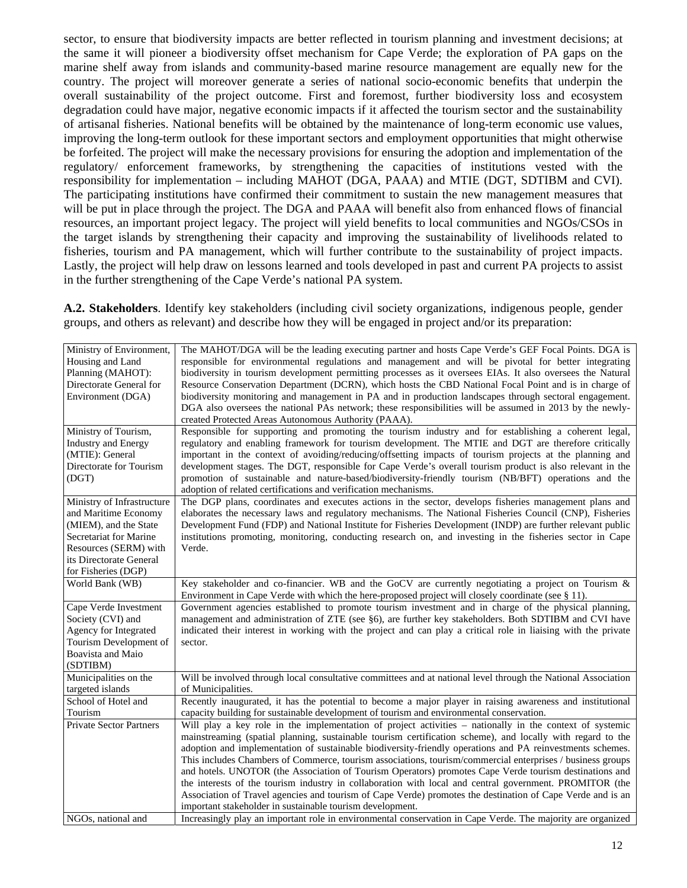sector, to ensure that biodiversity impacts are better reflected in tourism planning and investment decisions; at the same it will pioneer a biodiversity offset mechanism for Cape Verde; the exploration of PA gaps on the marine shelf away from islands and community-based marine resource management are equally new for the country. The project will moreover generate a series of national socio-economic benefits that underpin the overall sustainability of the project outcome. First and foremost, further biodiversity loss and ecosystem degradation could have major, negative economic impacts if it affected the tourism sector and the sustainability of artisanal fisheries. National benefits will be obtained by the maintenance of long-term economic use values, improving the long-term outlook for these important sectors and employment opportunities that might otherwise be forfeited. The project will make the necessary provisions for ensuring the adoption and implementation of the regulatory/ enforcement frameworks, by strengthening the capacities of institutions vested with the responsibility for implementation – including MAHOT (DGA, PAAA) and MTIE (DGT, SDTIBM and CVI). The participating institutions have confirmed their commitment to sustain the new management measures that will be put in place through the project. The DGA and PAAA will benefit also from enhanced flows of financial resources, an important project legacy. The project will yield benefits to local communities and NGOs/CSOs in the target islands by strengthening their capacity and improving the sustainability of livelihoods related to fisheries, tourism and PA management, which will further contribute to the sustainability of project impacts. Lastly, the project will help draw on lessons learned and tools developed in past and current PA projects to assist in the further strengthening of the Cape Verde's national PA system.

**A.2. Stakeholders**. Identify key stakeholders (including civil society organizations, indigenous people, gender groups, and others as relevant) and describe how they will be engaged in project and/or its preparation:

| Ministry of Environment,       | The MAHOT/DGA will be the leading executing partner and hosts Cape Verde's GEF Focal Points. DGA is            |
|--------------------------------|----------------------------------------------------------------------------------------------------------------|
| Housing and Land               | responsible for environmental regulations and management and will be pivotal for better integrating            |
| Planning (MAHOT):              | biodiversity in tourism development permitting processes as it oversees EIAs. It also oversees the Natural     |
| Directorate General for        | Resource Conservation Department (DCRN), which hosts the CBD National Focal Point and is in charge of          |
| Environment (DGA)              | biodiversity monitoring and management in PA and in production landscapes through sectoral engagement.         |
|                                | DGA also oversees the national PAs network; these responsibilities will be assumed in 2013 by the newly-       |
|                                | created Protected Areas Autonomous Authority (PAAA).                                                           |
| Ministry of Tourism,           | Responsible for supporting and promoting the tourism industry and for establishing a coherent legal,           |
| <b>Industry and Energy</b>     | regulatory and enabling framework for tourism development. The MTIE and DGT are therefore critically           |
| (MTIE): General                | important in the context of avoiding/reducing/offsetting impacts of tourism projects at the planning and       |
| Directorate for Tourism        | development stages. The DGT, responsible for Cape Verde's overall tourism product is also relevant in the      |
| (DGT)                          | promotion of sustainable and nature-based/biodiversity-friendly tourism (NB/BFT) operations and the            |
|                                | adoption of related certifications and verification mechanisms.                                                |
| Ministry of Infrastructure     | The DGP plans, coordinates and executes actions in the sector, develops fisheries management plans and         |
| and Maritime Economy           | elaborates the necessary laws and regulatory mechanisms. The National Fisheries Council (CNP), Fisheries       |
| (MIEM), and the State          | Development Fund (FDP) and National Institute for Fisheries Development (INDP) are further relevant public     |
| Secretariat for Marine         | institutions promoting, monitoring, conducting research on, and investing in the fisheries sector in Cape      |
| Resources (SERM) with          | Verde.                                                                                                         |
| its Directorate General        |                                                                                                                |
| for Fisheries (DGP)            |                                                                                                                |
| World Bank (WB)                | Key stakeholder and co-financier. WB and the GoCV are currently negotiating a project on Tourism &             |
|                                | Environment in Cape Verde with which the here-proposed project will closely coordinate (see $\S$ 11).          |
| Cape Verde Investment          | Government agencies established to promote tourism investment and in charge of the physical planning,          |
| Society (CVI) and              | management and administration of ZTE (see §6), are further key stakeholders. Both SDTIBM and CVI have          |
| Agency for Integrated          | indicated their interest in working with the project and can play a critical role in liaising with the private |
| Tourism Development of         | sector.                                                                                                        |
| Boavista and Maio              |                                                                                                                |
| (SDTIBM)                       |                                                                                                                |
| Municipalities on the          | Will be involved through local consultative committees and at national level through the National Association  |
| targeted islands               | of Municipalities.                                                                                             |
| School of Hotel and            | Recently inaugurated, it has the potential to become a major player in raising awareness and institutional     |
| Tourism                        | capacity building for sustainable development of tourism and environmental conservation.                       |
| <b>Private Sector Partners</b> | Will play a key role in the implementation of project activities – nationally in the context of systemic       |
|                                | mainstreaming (spatial planning, sustainable tourism certification scheme), and locally with regard to the     |
|                                | adoption and implementation of sustainable biodiversity-friendly operations and PA reinvestments schemes.      |
|                                | This includes Chambers of Commerce, tourism associations, tourism/commercial enterprises / business groups     |
|                                | and hotels. UNOTOR (the Association of Tourism Operators) promotes Cape Verde tourism destinations and         |
|                                | the interests of the tourism industry in collaboration with local and central government. PROMITOR (the        |
|                                | Association of Travel agencies and tourism of Cape Verde) promotes the destination of Cape Verde and is an     |
|                                | important stakeholder in sustainable tourism development.                                                      |
| NGOs, national and             | Increasingly play an important role in environmental conservation in Cape Verde. The majority are organized    |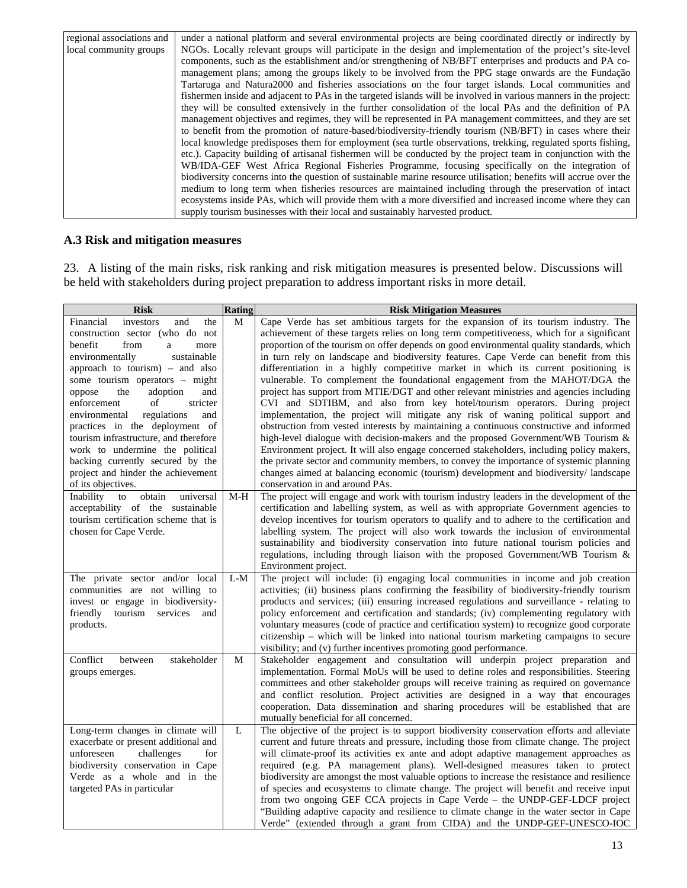| regional associations and | under a national platform and several environmental projects are being coordinated directly or indirectly by      |
|---------------------------|-------------------------------------------------------------------------------------------------------------------|
| local community groups    | NGOs. Locally relevant groups will participate in the design and implementation of the project's site-level       |
|                           | components, such as the establishment and/or strengthening of NB/BFT enterprises and products and PA co-          |
|                           | management plans; among the groups likely to be involved from the PPG stage onwards are the Fundação              |
|                           | Tartaruga and Natura 2000 and fisheries associations on the four target islands. Local communities and            |
|                           | fishermen inside and adjacent to PAs in the targeted islands will be involved in various manners in the project:  |
|                           | they will be consulted extensively in the further consolidation of the local PAs and the definition of PA         |
|                           | management objectives and regimes, they will be represented in PA management committees, and they are set         |
|                           | to benefit from the promotion of nature-based/biodiversity-friendly tourism (NB/BFT) in cases where their         |
|                           | local knowledge predisposes them for employment (sea turtle observations, trekking, regulated sports fishing,     |
|                           | etc.). Capacity building of artisanal fishermen will be conducted by the project team in conjunction with the     |
|                           | WB/IDA-GEF West Africa Regional Fisheries Programme, focusing specifically on the integration of                  |
|                           | biodiversity concerns into the question of sustainable marine resource utilisation; benefits will accrue over the |
|                           | medium to long term when fisheries resources are maintained including through the preservation of intact          |
|                           | ecosystems inside PAs, which will provide them with a more diversified and increased income where they can        |
|                           | supply tourism businesses with their local and sustainably harvested product.                                     |

## **A.3 Risk and mitigation measures**

23. A listing of the main risks, risk ranking and risk mitigation measures is presented below. Discussions will be held with stakeholders during project preparation to address important risks in more detail.

| <b>Risk</b>                                                                                                                                                                                                                                                                                                                                                                                                                                                                                                                                                                          | <b>Rating</b> | <b>Risk Mitigation Measures</b>                                                                                                                                                                                                                                                                                                                                                                                                                                                                                                                                                                                                                                                                                                                                                                                                                                                                                                                                                                                                                                                                                                                                                                                                                                                                                                                                                                          |
|--------------------------------------------------------------------------------------------------------------------------------------------------------------------------------------------------------------------------------------------------------------------------------------------------------------------------------------------------------------------------------------------------------------------------------------------------------------------------------------------------------------------------------------------------------------------------------------|---------------|----------------------------------------------------------------------------------------------------------------------------------------------------------------------------------------------------------------------------------------------------------------------------------------------------------------------------------------------------------------------------------------------------------------------------------------------------------------------------------------------------------------------------------------------------------------------------------------------------------------------------------------------------------------------------------------------------------------------------------------------------------------------------------------------------------------------------------------------------------------------------------------------------------------------------------------------------------------------------------------------------------------------------------------------------------------------------------------------------------------------------------------------------------------------------------------------------------------------------------------------------------------------------------------------------------------------------------------------------------------------------------------------------------|
| Financial<br>investors<br>and<br>the<br>construction sector (who do not<br>benefit<br>from<br>a<br>more<br>sustainable<br>environmentally<br>approach to tourism) $-$ and also<br>some tourism operators - might<br>oppose<br>adoption<br>the<br>and<br>of<br>enforcement<br>stricter<br>environmental<br>regulations<br>and<br>practices in the deployment of<br>tourism infrastructure, and therefore<br>work to undermine the political<br>backing currently secured by the<br>project and hinder the achievement<br>of its objectives.<br>Inability<br>to<br>obtain<br>universal | M<br>$M-H$    | Cape Verde has set ambitious targets for the expansion of its tourism industry. The<br>achievement of these targets relies on long term competitiveness, which for a significant<br>proportion of the tourism on offer depends on good environmental quality standards, which<br>in turn rely on landscape and biodiversity features. Cape Verde can benefit from this<br>differentiation in a highly competitive market in which its current positioning is<br>vulnerable. To complement the foundational engagement from the MAHOT/DGA the<br>project has support from MTIE/DGT and other relevant ministries and agencies including<br>CVI and SDTIBM, and also from key hotel/tourism operators. During project<br>implementation, the project will mitigate any risk of waning political support and<br>obstruction from vested interests by maintaining a continuous constructive and informed<br>high-level dialogue with decision-makers and the proposed Government/WB Tourism &<br>Environment project. It will also engage concerned stakeholders, including policy makers,<br>the private sector and community members, to convey the importance of systemic planning<br>changes aimed at balancing economic (tourism) development and biodiversity/landscape<br>conservation in and around PAs.<br>The project will engage and work with tourism industry leaders in the development of the |
| acceptability of the sustainable<br>tourism certification scheme that is<br>chosen for Cape Verde.                                                                                                                                                                                                                                                                                                                                                                                                                                                                                   |               | certification and labelling system, as well as with appropriate Government agencies to<br>develop incentives for tourism operators to qualify and to adhere to the certification and<br>labelling system. The project will also work towards the inclusion of environmental<br>sustainability and biodiversity conservation into future national tourism policies and<br>regulations, including through liaison with the proposed Government/WB Tourism &<br>Environment project.                                                                                                                                                                                                                                                                                                                                                                                                                                                                                                                                                                                                                                                                                                                                                                                                                                                                                                                        |
| The private sector and/or local<br>communities are not willing to<br>invest or engage in biodiversity-<br>friendly<br>tourism<br>services<br>and<br>products.                                                                                                                                                                                                                                                                                                                                                                                                                        | $L-M$         | The project will include: (i) engaging local communities in income and job creation<br>activities; (ii) business plans confirming the feasibility of biodiversity-friendly tourism<br>products and services; (iii) ensuring increased regulations and surveillance - relating to<br>policy enforcement and certification and standards; (iv) complementing regulatory with<br>voluntary measures (code of practice and certification system) to recognize good corporate<br>citizenship – which will be linked into national tourism marketing campaigns to secure<br>visibility; and (v) further incentives promoting good performance.                                                                                                                                                                                                                                                                                                                                                                                                                                                                                                                                                                                                                                                                                                                                                                 |
| Conflict<br>between<br>stakeholder<br>groups emerges.                                                                                                                                                                                                                                                                                                                                                                                                                                                                                                                                | M             | Stakeholder engagement and consultation will underpin project preparation and<br>implementation. Formal MoUs will be used to define roles and responsibilities. Steering<br>committees and other stakeholder groups will receive training as required on governance<br>and conflict resolution. Project activities are designed in a way that encourages<br>cooperation. Data dissemination and sharing procedures will be established that are<br>mutually beneficial for all concerned.                                                                                                                                                                                                                                                                                                                                                                                                                                                                                                                                                                                                                                                                                                                                                                                                                                                                                                                |
| Long-term changes in climate will<br>exacerbate or present additional and<br>unforeseen<br>challenges<br>for<br>biodiversity conservation in Cape<br>Verde as a whole and in the<br>targeted PAs in particular                                                                                                                                                                                                                                                                                                                                                                       | L             | The objective of the project is to support biodiversity conservation efforts and alleviate<br>current and future threats and pressure, including those from climate change. The project<br>will climate-proof its activities ex ante and adopt adaptive management approaches as<br>required (e.g. PA management plans). Well-designed measures taken to protect<br>biodiversity are amongst the most valuable options to increase the resistance and resilience<br>of species and ecosystems to climate change. The project will benefit and receive input<br>from two ongoing GEF CCA projects in Cape Verde – the UNDP-GEF-LDCF project<br>"Building adaptive capacity and resilience to climate change in the water sector in Cape<br>Verde" (extended through a grant from CIDA) and the UNDP-GEF-UNESCO-IOC                                                                                                                                                                                                                                                                                                                                                                                                                                                                                                                                                                                        |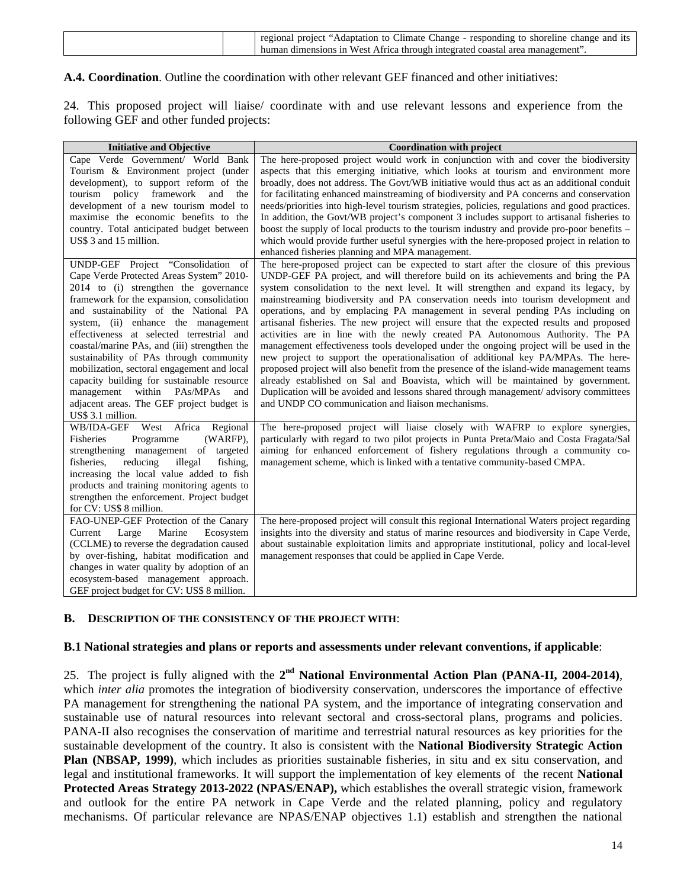| human dimensions in West Africa through integrated coastal area management". | regional project "Adaptation to Climate Change - responding to shoreline change and its |
|------------------------------------------------------------------------------|-----------------------------------------------------------------------------------------|
|------------------------------------------------------------------------------|-----------------------------------------------------------------------------------------|

## **A.4. Coordination**. Outline the coordination with other relevant GEF financed and other initiatives:

24. This proposed project will liaise/ coordinate with and use relevant lessons and experience from the following GEF and other funded projects:

| <b>Initiative and Objective</b>                                                                                                                                                                                                                                                                                                                                                                                                                                                                                                                                                                      | <b>Coordination with project</b>                                                                                                                                                                                                                                                                                                                                                                                                                                                                                                                                                                                                                                                                                                                                                                                                                                                                                                                                                                                                                                                                                                      |  |  |  |
|------------------------------------------------------------------------------------------------------------------------------------------------------------------------------------------------------------------------------------------------------------------------------------------------------------------------------------------------------------------------------------------------------------------------------------------------------------------------------------------------------------------------------------------------------------------------------------------------------|---------------------------------------------------------------------------------------------------------------------------------------------------------------------------------------------------------------------------------------------------------------------------------------------------------------------------------------------------------------------------------------------------------------------------------------------------------------------------------------------------------------------------------------------------------------------------------------------------------------------------------------------------------------------------------------------------------------------------------------------------------------------------------------------------------------------------------------------------------------------------------------------------------------------------------------------------------------------------------------------------------------------------------------------------------------------------------------------------------------------------------------|--|--|--|
| Cape Verde Government/ World Bank<br>Tourism & Environment project (under<br>development), to support reform of the<br>tourism policy framework and<br>the<br>development of a new tourism model to<br>maximise the economic benefits to the<br>country. Total anticipated budget between<br>US\$ 3 and 15 million.                                                                                                                                                                                                                                                                                  | The here-proposed project would work in conjunction with and cover the biodiversity<br>aspects that this emerging initiative, which looks at tourism and environment more<br>broadly, does not address. The Govt/WB initiative would thus act as an additional conduit<br>for facilitating enhanced mainstreaming of biodiversity and PA concerns and conservation<br>needs/priorities into high-level tourism strategies, policies, regulations and good practices.<br>In addition, the Govt/WB project's component 3 includes support to artisanal fisheries to<br>boost the supply of local products to the tourism industry and provide pro-poor benefits –<br>which would provide further useful synergies with the here-proposed project in relation to<br>enhanced fisheries planning and MPA management.                                                                                                                                                                                                                                                                                                                      |  |  |  |
| UNDP-GEF Project "Consolidation<br>of<br>Cape Verde Protected Areas System" 2010-<br>2014 to (i) strengthen the governance<br>framework for the expansion, consolidation<br>and sustainability of the National PA<br>system, (ii) enhance the management<br>effectiveness at selected terrestrial and<br>coastal/marine PAs, and (iii) strengthen the<br>sustainability of PAs through community<br>mobilization, sectoral engagement and local<br>capacity building for sustainable resource<br>management within PAs/MPAs<br>and<br>adjacent areas. The GEF project budget is<br>US\$ 3.1 million. | The here-proposed project can be expected to start after the closure of this previous<br>UNDP-GEF PA project, and will therefore build on its achievements and bring the PA<br>system consolidation to the next level. It will strengthen and expand its legacy, by<br>mainstreaming biodiversity and PA conservation needs into tourism development and<br>operations, and by emplacing PA management in several pending PAs including on<br>artisanal fisheries. The new project will ensure that the expected results and proposed<br>activities are in line with the newly created PA Autonomous Authority. The PA<br>management effectiveness tools developed under the ongoing project will be used in the<br>new project to support the operationalisation of additional key PA/MPAs. The here-<br>proposed project will also benefit from the presence of the island-wide management teams<br>already established on Sal and Boavista, which will be maintained by government.<br>Duplication will be avoided and lessons shared through management/ advisory committees<br>and UNDP CO communication and liaison mechanisms. |  |  |  |
| WB/IDA-GEF West Africa Regional<br>Fisheries<br>Programme<br>(WARFP),<br>strengthening management of targeted<br>fisheries.<br>reducing<br>illegal<br>fishing,<br>increasing the local value added to fish<br>products and training monitoring agents to<br>strengthen the enforcement. Project budget<br>for CV: US\$ 8 million.                                                                                                                                                                                                                                                                    | The here-proposed project will liaise closely with WAFRP to explore synergies,<br>particularly with regard to two pilot projects in Punta Preta/Maio and Costa Fragata/Sal<br>aiming for enhanced enforcement of fishery regulations through a community co-<br>management scheme, which is linked with a tentative community-based CMPA.                                                                                                                                                                                                                                                                                                                                                                                                                                                                                                                                                                                                                                                                                                                                                                                             |  |  |  |
| FAO-UNEP-GEF Protection of the Canary<br>Large<br>Marine<br>Current<br>Ecosystem<br>(CCLME) to reverse the degradation caused<br>by over-fishing, habitat modification and<br>changes in water quality by adoption of an<br>ecosystem-based management approach.<br>GEF project budget for CV: US\$ 8 million.                                                                                                                                                                                                                                                                                       | The here-proposed project will consult this regional International Waters project regarding<br>insights into the diversity and status of marine resources and biodiversity in Cape Verde,<br>about sustainable exploitation limits and appropriate institutional, policy and local-level<br>management responses that could be applied in Cape Verde.                                                                                                                                                                                                                                                                                                                                                                                                                                                                                                                                                                                                                                                                                                                                                                                 |  |  |  |

## **B. DESCRIPTION OF THE CONSISTENCY OF THE PROJECT WITH**:

#### **B.1 National strategies and plans or reports and assessments under relevant conventions, if applicable**:

25. The project is fully aligned with the **2nd National Environmental Action Plan (PANA-II, 2004-2014)**, which *inter alia* promotes the integration of biodiversity conservation, underscores the importance of effective PA management for strengthening the national PA system, and the importance of integrating conservation and sustainable use of natural resources into relevant sectoral and cross-sectoral plans, programs and policies. PANA-II also recognises the conservation of maritime and terrestrial natural resources as key priorities for the sustainable development of the country. It also is consistent with the **National Biodiversity Strategic Action Plan (NBSAP, 1999)**, which includes as priorities sustainable fisheries, in situ and ex situ conservation, and legal and institutional frameworks. It will support the implementation of key elements of the recent **National Protected Areas Strategy 2013-2022 (NPAS/ENAP),** which establishes the overall strategic vision, framework and outlook for the entire PA network in Cape Verde and the related planning, policy and regulatory mechanisms. Of particular relevance are NPAS/ENAP objectives 1.1) establish and strengthen the national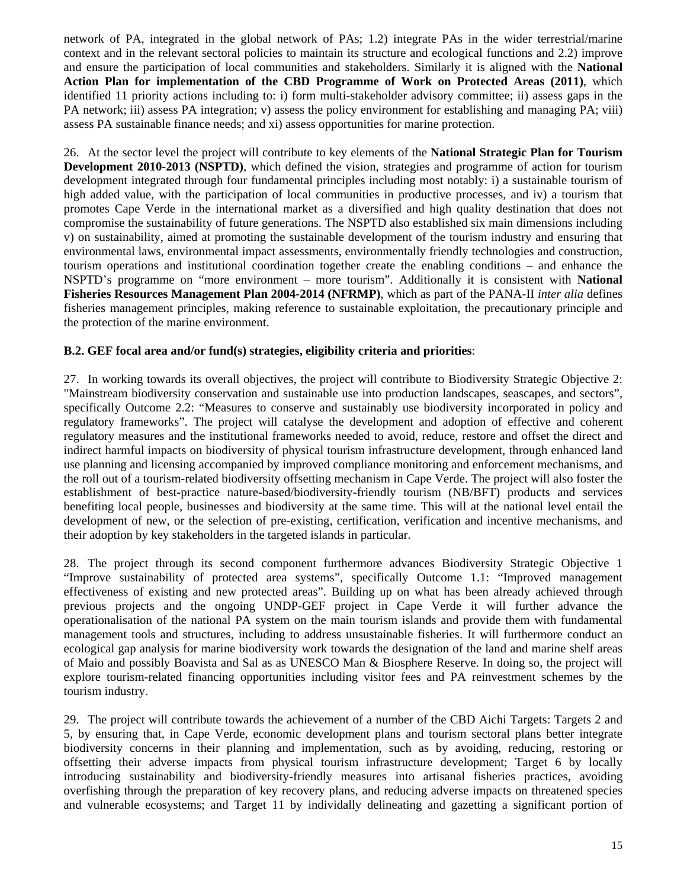network of PA, integrated in the global network of PAs; 1.2) integrate PAs in the wider terrestrial/marine context and in the relevant sectoral policies to maintain its structure and ecological functions and 2.2) improve and ensure the participation of local communities and stakeholders. Similarly it is aligned with the **National Action Plan for implementation of the CBD Programme of Work on Protected Areas (2011)**, which identified 11 priority actions including to: i) form multi-stakeholder advisory committee; ii) assess gaps in the PA network; iii) assess PA integration; v) assess the policy environment for establishing and managing PA; viii) assess PA sustainable finance needs; and xi) assess opportunities for marine protection.

26. At the sector level the project will contribute to key elements of the **National Strategic Plan for Tourism Development 2010-2013 (NSPTD)**, which defined the vision, strategies and programme of action for tourism development integrated through four fundamental principles including most notably: i) a sustainable tourism of high added value, with the participation of local communities in productive processes, and iv) a tourism that promotes Cape Verde in the international market as a diversified and high quality destination that does not compromise the sustainability of future generations. The NSPTD also established six main dimensions including v) on sustainability, aimed at promoting the sustainable development of the tourism industry and ensuring that environmental laws, environmental impact assessments, environmentally friendly technologies and construction, tourism operations and institutional coordination together create the enabling conditions – and enhance the NSPTD's programme on "more environment – more tourism". Additionally it is consistent with **National Fisheries Resources Management Plan 2004-2014 (NFRMP)**, which as part of the PANA-II *inter alia* defines fisheries management principles, making reference to sustainable exploitation, the precautionary principle and the protection of the marine environment.

## **B.2. GEF focal area and/or fund(s) strategies, eligibility criteria and priorities**:

27. In working towards its overall objectives, the project will contribute to Biodiversity Strategic Objective 2: "Mainstream biodiversity conservation and sustainable use into production landscapes, seascapes, and sectors", specifically Outcome 2.2: "Measures to conserve and sustainably use biodiversity incorporated in policy and regulatory frameworks". The project will catalyse the development and adoption of effective and coherent regulatory measures and the institutional frameworks needed to avoid, reduce, restore and offset the direct and indirect harmful impacts on biodiversity of physical tourism infrastructure development, through enhanced land use planning and licensing accompanied by improved compliance monitoring and enforcement mechanisms, and the roll out of a tourism-related biodiversity offsetting mechanism in Cape Verde. The project will also foster the establishment of best-practice nature-based/biodiversity-friendly tourism (NB/BFT) products and services benefiting local people, businesses and biodiversity at the same time. This will at the national level entail the development of new, or the selection of pre-existing, certification, verification and incentive mechanisms, and their adoption by key stakeholders in the targeted islands in particular.

28. The project through its second component furthermore advances Biodiversity Strategic Objective 1 "Improve sustainability of protected area systems", specifically Outcome 1.1: "Improved management effectiveness of existing and new protected areas". Building up on what has been already achieved through previous projects and the ongoing UNDP-GEF project in Cape Verde it will further advance the operationalisation of the national PA system on the main tourism islands and provide them with fundamental management tools and structures, including to address unsustainable fisheries. It will furthermore conduct an ecological gap analysis for marine biodiversity work towards the designation of the land and marine shelf areas of Maio and possibly Boavista and Sal as as UNESCO Man & Biosphere Reserve. In doing so, the project will explore tourism-related financing opportunities including visitor fees and PA reinvestment schemes by the tourism industry.

29. The project will contribute towards the achievement of a number of the CBD Aichi Targets: Targets 2 and 5, by ensuring that, in Cape Verde, economic development plans and tourism sectoral plans better integrate biodiversity concerns in their planning and implementation, such as by avoiding, reducing, restoring or offsetting their adverse impacts from physical tourism infrastructure development; Target 6 by locally introducing sustainability and biodiversity-friendly measures into artisanal fisheries practices, avoiding overfishing through the preparation of key recovery plans, and reducing adverse impacts on threatened species and vulnerable ecosystems; and Target 11 by individally delineating and gazetting a significant portion of